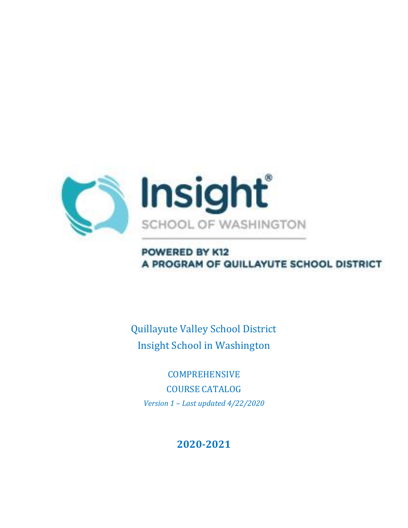

## POWERED BY K12 A PROGRAM OF QUILLAYUTE SCHOOL DISTRICT

Quillayute Valley School District Insight School in Washington

**COMPREHENSIVE** COURSE CATALOG *Version 1 – Last updated 4/22/2020*

## **2020-2021**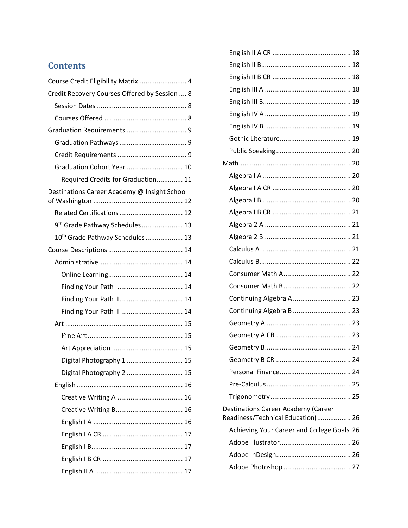## **Contents**

| Course Credit Eligibility Matrix 4            |  |
|-----------------------------------------------|--|
| Credit Recovery Courses Offered by Session  8 |  |
|                                               |  |
|                                               |  |
|                                               |  |
|                                               |  |
|                                               |  |
| Graduation Cohort Year  10                    |  |
| Required Credits for Graduation 11            |  |
| Destinations Career Academy @ Insight School  |  |
|                                               |  |
| 9 <sup>th</sup> Grade Pathway Schedules  13   |  |
| 10 <sup>th</sup> Grade Pathway Schedules  13  |  |
|                                               |  |
|                                               |  |
|                                               |  |
| Finding Your Path I 14                        |  |
| Finding Your Path II 14                       |  |
|                                               |  |
|                                               |  |
|                                               |  |
|                                               |  |
| Digital Photography 1  15                     |  |
| Digital Photography 2  15                     |  |
|                                               |  |
|                                               |  |
|                                               |  |
|                                               |  |
|                                               |  |
|                                               |  |
|                                               |  |
|                                               |  |

| Continuing Algebra A  23                                                        |  |
|---------------------------------------------------------------------------------|--|
| Continuing Algebra B  23                                                        |  |
|                                                                                 |  |
|                                                                                 |  |
|                                                                                 |  |
|                                                                                 |  |
|                                                                                 |  |
|                                                                                 |  |
|                                                                                 |  |
| <b>Destinations Career Academy (Career</b><br>Readiness/Technical Education) 26 |  |
| Achieving Your Career and College Goals 26                                      |  |
|                                                                                 |  |
|                                                                                 |  |
|                                                                                 |  |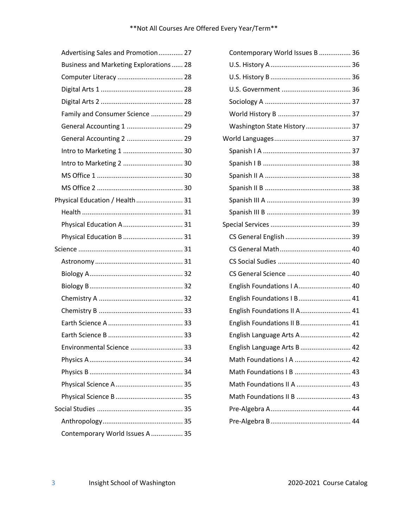| Advertising Sales and Promotion 27      |  |
|-----------------------------------------|--|
| Business and Marketing Explorations  28 |  |
|                                         |  |
|                                         |  |
|                                         |  |
| Family and Consumer Science  29         |  |
| General Accounting 1  29                |  |
| General Accounting 2  29                |  |
| Intro to Marketing 1  30                |  |
| Intro to Marketing 2  30                |  |
|                                         |  |
|                                         |  |
| Physical Education / Health 31          |  |
|                                         |  |
| Physical Education A  31                |  |
| Physical Education B  31                |  |
|                                         |  |
|                                         |  |
|                                         |  |
|                                         |  |
|                                         |  |
|                                         |  |
|                                         |  |
|                                         |  |
| Environmental Science  33               |  |
|                                         |  |
|                                         |  |
|                                         |  |
|                                         |  |
|                                         |  |
|                                         |  |
| Contemporary World Issues A  35         |  |

| Contemporary World Issues B  36 |  |
|---------------------------------|--|
|                                 |  |
|                                 |  |
|                                 |  |
|                                 |  |
|                                 |  |
| Washington State History  37    |  |
|                                 |  |
|                                 |  |
|                                 |  |
|                                 |  |
|                                 |  |
|                                 |  |
|                                 |  |
|                                 |  |
|                                 |  |
|                                 |  |
|                                 |  |
|                                 |  |
| English Foundations   A 40      |  |
| English Foundations I B 41      |  |
| English Foundations II A 41     |  |
| English Foundations II B 41     |  |
| English Language Arts A  42     |  |
| English Language Arts B<br>. 42 |  |
| Math Foundations I A  42        |  |
| Math Foundations   B  43        |  |
| Math Foundations II A  43       |  |
| Math Foundations II B  43       |  |
|                                 |  |
|                                 |  |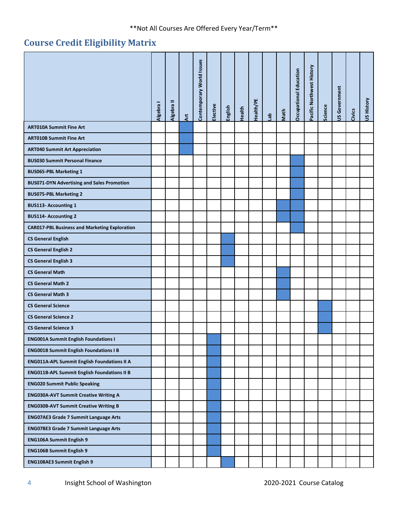## <span id="page-3-0"></span>**Course Credit Eligibility Matrix**

|                                                      | Algebra | Ξ<br><b>Algebra</b> | $\overline{\mathbf{r}}$ | Contemporary World Issues | Elective | English | Health | Health/PE | <b>de</b> | Math | Occupational Education | Pacific Northwest History | Science | <b>US Government</b> | Civics | <b>US History</b> |
|------------------------------------------------------|---------|---------------------|-------------------------|---------------------------|----------|---------|--------|-----------|-----------|------|------------------------|---------------------------|---------|----------------------|--------|-------------------|
| <b>ART010A Summit Fine Art</b>                       |         |                     |                         |                           |          |         |        |           |           |      |                        |                           |         |                      |        |                   |
| <b>ART010B Summit Fine Art</b>                       |         |                     |                         |                           |          |         |        |           |           |      |                        |                           |         |                      |        |                   |
| <b>ART040 Summit Art Appreciation</b>                |         |                     |                         |                           |          |         |        |           |           |      |                        |                           |         |                      |        |                   |
| <b>BUS030 Summit Personal Finance</b>                |         |                     |                         |                           |          |         |        |           |           |      |                        |                           |         |                      |        |                   |
| <b>BUS065-PBL Marketing 1</b>                        |         |                     |                         |                           |          |         |        |           |           |      |                        |                           |         |                      |        |                   |
| <b>BUS071-DYN Advertising and Sales Promotion</b>    |         |                     |                         |                           |          |         |        |           |           |      |                        |                           |         |                      |        |                   |
| <b>BUS075-PBL Marketing 2</b>                        |         |                     |                         |                           |          |         |        |           |           |      |                        |                           |         |                      |        |                   |
| <b>BUS113-Accounting 1</b>                           |         |                     |                         |                           |          |         |        |           |           |      |                        |                           |         |                      |        |                   |
| <b>BUS114- Accounting 2</b>                          |         |                     |                         |                           |          |         |        |           |           |      |                        |                           |         |                      |        |                   |
| <b>CAR017-PBL Business and Marketing Exploration</b> |         |                     |                         |                           |          |         |        |           |           |      |                        |                           |         |                      |        |                   |
| <b>CS General English</b>                            |         |                     |                         |                           |          |         |        |           |           |      |                        |                           |         |                      |        |                   |
| <b>CS General English 2</b>                          |         |                     |                         |                           |          |         |        |           |           |      |                        |                           |         |                      |        |                   |
| <b>CS General English 3</b>                          |         |                     |                         |                           |          |         |        |           |           |      |                        |                           |         |                      |        |                   |
| <b>CS General Math</b>                               |         |                     |                         |                           |          |         |        |           |           |      |                        |                           |         |                      |        |                   |
| <b>CS General Math 2</b>                             |         |                     |                         |                           |          |         |        |           |           |      |                        |                           |         |                      |        |                   |
| <b>CS General Math 3</b>                             |         |                     |                         |                           |          |         |        |           |           |      |                        |                           |         |                      |        |                   |
| <b>CS General Science</b>                            |         |                     |                         |                           |          |         |        |           |           |      |                        |                           |         |                      |        |                   |
| <b>CS General Science 2</b>                          |         |                     |                         |                           |          |         |        |           |           |      |                        |                           |         |                      |        |                   |
| <b>CS General Science 3</b>                          |         |                     |                         |                           |          |         |        |           |           |      |                        |                           |         |                      |        |                   |
| <b>ENG001A Summit English Foundations I</b>          |         |                     |                         |                           |          |         |        |           |           |      |                        |                           |         |                      |        |                   |
| <b>ENG001B Summit English Foundations I B</b>        |         |                     |                         |                           |          |         |        |           |           |      |                        |                           |         |                      |        |                   |
| <b>ENG011A-APL Summit English Foundations II A</b>   |         |                     |                         |                           |          |         |        |           |           |      |                        |                           |         |                      |        |                   |
| <b>ENG011B-APL Summit English Foundations II B</b>   |         |                     |                         |                           |          |         |        |           |           |      |                        |                           |         |                      |        |                   |
| <b>ENG020 Summit Public Speaking</b>                 |         |                     |                         |                           |          |         |        |           |           |      |                        |                           |         |                      |        |                   |
| <b>ENG030A-AVT Summit Creative Writing A</b>         |         |                     |                         |                           |          |         |        |           |           |      |                        |                           |         |                      |        |                   |
| <b>ENG030B-AVT Summit Creative Writing B</b>         |         |                     |                         |                           |          |         |        |           |           |      |                        |                           |         |                      |        |                   |
| <b>ENG07AE3 Grade 7 Summit Language Arts</b>         |         |                     |                         |                           |          |         |        |           |           |      |                        |                           |         |                      |        |                   |
| <b>ENG07BE3 Grade 7 Summit Language Arts</b>         |         |                     |                         |                           |          |         |        |           |           |      |                        |                           |         |                      |        |                   |
| <b>ENG106A Summit English 9</b>                      |         |                     |                         |                           |          |         |        |           |           |      |                        |                           |         |                      |        |                   |
| <b>ENG106B Summit English 9</b>                      |         |                     |                         |                           |          |         |        |           |           |      |                        |                           |         |                      |        |                   |
| ENG108AE3 Summit English 9                           |         |                     |                         |                           |          |         |        |           |           |      |                        |                           |         |                      |        |                   |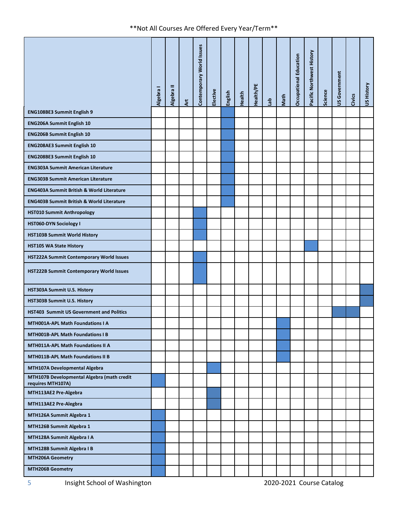|                                                                 | Algebra I | Algebra II | <b>Art</b> | Contemporary World Issues | Elective | English | Health | Health/PE | $\frac{a}{b}$ | Math | <b>Occupational Education</b> | Pacific Northwest History | Science | <b>JS Government</b> | Civics | US History |
|-----------------------------------------------------------------|-----------|------------|------------|---------------------------|----------|---------|--------|-----------|---------------|------|-------------------------------|---------------------------|---------|----------------------|--------|------------|
| ENG108BE3 Summit English 9                                      |           |            |            |                           |          |         |        |           |               |      |                               |                           |         |                      |        |            |
| <b>ENG206A Summit English 10</b>                                |           |            |            |                           |          |         |        |           |               |      |                               |                           |         |                      |        |            |
| <b>ENG206B Summit English 10</b>                                |           |            |            |                           |          |         |        |           |               |      |                               |                           |         |                      |        |            |
| <b>ENG208AE3 Summit English 10</b>                              |           |            |            |                           |          |         |        |           |               |      |                               |                           |         |                      |        |            |
| <b>ENG208BE3 Summit English 10</b>                              |           |            |            |                           |          |         |        |           |               |      |                               |                           |         |                      |        |            |
| <b>ENG303A Summit American Literature</b>                       |           |            |            |                           |          |         |        |           |               |      |                               |                           |         |                      |        |            |
| <b>ENG303B Summit American Literature</b>                       |           |            |            |                           |          |         |        |           |               |      |                               |                           |         |                      |        |            |
| <b>ENG403A Summit British &amp; World Literature</b>            |           |            |            |                           |          |         |        |           |               |      |                               |                           |         |                      |        |            |
| <b>ENG403B Summit British &amp; World Literature</b>            |           |            |            |                           |          |         |        |           |               |      |                               |                           |         |                      |        |            |
| <b>HST010 Summit Anthropology</b>                               |           |            |            |                           |          |         |        |           |               |      |                               |                           |         |                      |        |            |
| <b>HST060-DYN Sociology I</b>                                   |           |            |            |                           |          |         |        |           |               |      |                               |                           |         |                      |        |            |
| <b>HST103B Summit World History</b>                             |           |            |            |                           |          |         |        |           |               |      |                               |                           |         |                      |        |            |
| <b>HST105 WA State History</b>                                  |           |            |            |                           |          |         |        |           |               |      |                               |                           |         |                      |        |            |
| HST222A Summit Contemporary World Issues                        |           |            |            |                           |          |         |        |           |               |      |                               |                           |         |                      |        |            |
| HST222B Summit Contemporary World Issues                        |           |            |            |                           |          |         |        |           |               |      |                               |                           |         |                      |        |            |
| HST303A Summit U.S. History                                     |           |            |            |                           |          |         |        |           |               |      |                               |                           |         |                      |        |            |
| HST303B Summit U.S. History                                     |           |            |            |                           |          |         |        |           |               |      |                               |                           |         |                      |        |            |
| HST403 Summit US Government and Politics                        |           |            |            |                           |          |         |        |           |               |      |                               |                           |         |                      |        |            |
| MTH001A-APL Math Foundations I A                                |           |            |            |                           |          |         |        |           |               |      |                               |                           |         |                      |        |            |
| MTH001B-APL Math Foundations I B                                |           |            |            |                           |          |         |        |           |               |      |                               |                           |         |                      |        |            |
| MTH011A-APL Math Foundations II A                               |           |            |            |                           |          |         |        |           |               |      |                               |                           |         |                      |        |            |
| MTH011B-APL Math Foundations II B                               |           |            |            |                           |          |         |        |           |               |      |                               |                           |         |                      |        |            |
| MTH107A Developmental Algebra                                   |           |            |            |                           |          |         |        |           |               |      |                               |                           |         |                      |        |            |
| MTH107B Developmental Algebra (math credit<br>requires MTH107A) |           |            |            |                           |          |         |        |           |               |      |                               |                           |         |                      |        |            |
| MTH113AE2 Pre-Algebra                                           |           |            |            |                           |          |         |        |           |               |      |                               |                           |         |                      |        |            |
| MTH113AE2 Pre-Alegbra                                           |           |            |            |                           |          |         |        |           |               |      |                               |                           |         |                      |        |            |
| MTH126A Summit Algebra 1                                        |           |            |            |                           |          |         |        |           |               |      |                               |                           |         |                      |        |            |
| MTH126B Summit Algebra 1                                        |           |            |            |                           |          |         |        |           |               |      |                               |                           |         |                      |        |            |
| MTH128A Summit Algebra I A                                      |           |            |            |                           |          |         |        |           |               |      |                               |                           |         |                      |        |            |
| MTH128B Summit Algebra I B                                      |           |            |            |                           |          |         |        |           |               |      |                               |                           |         |                      |        |            |
| MTH206A Geometry                                                |           |            |            |                           |          |         |        |           |               |      |                               |                           |         |                      |        |            |
| <b>MTH206B Geometry</b>                                         |           |            |            |                           |          |         |        |           |               |      |                               |                           |         |                      |        |            |
| Insight School of Washington<br>5                               |           |            |            |                           |          |         |        |           |               |      |                               | 2020-2021 Course Catalog  |         |                      |        |            |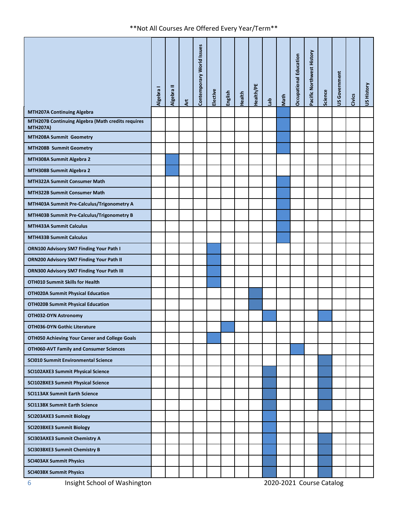|                                                                      | Algebra I | Algebra II | $\ddot{a}$ | Contemporary World Issues | Elective | English | Health | Health/PE | $\frac{a}{b}$ | Math | Occupational Education   | Pacific Northwest History | Science | <b>JS Government</b> | Civics | US History |
|----------------------------------------------------------------------|-----------|------------|------------|---------------------------|----------|---------|--------|-----------|---------------|------|--------------------------|---------------------------|---------|----------------------|--------|------------|
| <b>MTH207A Continuing Algebra</b>                                    |           |            |            |                           |          |         |        |           |               |      |                          |                           |         |                      |        |            |
| MTH207B Continuing Algebra (Math credits requires<br><b>MTH207A)</b> |           |            |            |                           |          |         |        |           |               |      |                          |                           |         |                      |        |            |
| MTH208A Summit Geometry                                              |           |            |            |                           |          |         |        |           |               |      |                          |                           |         |                      |        |            |
| MTH208B Summit Geometry                                              |           |            |            |                           |          |         |        |           |               |      |                          |                           |         |                      |        |            |
| MTH308A Summit Algebra 2                                             |           |            |            |                           |          |         |        |           |               |      |                          |                           |         |                      |        |            |
| MTH308B Summit Algebra 2                                             |           |            |            |                           |          |         |        |           |               |      |                          |                           |         |                      |        |            |
| <b>MTH322A Summit Consumer Math</b>                                  |           |            |            |                           |          |         |        |           |               |      |                          |                           |         |                      |        |            |
| <b>MTH322B Summit Consumer Math</b>                                  |           |            |            |                           |          |         |        |           |               |      |                          |                           |         |                      |        |            |
| MTH403A Summit Pre-Calculus/Trigonometry A                           |           |            |            |                           |          |         |        |           |               |      |                          |                           |         |                      |        |            |
| MTH403B Summit Pre-Calculus/Trigonometry B                           |           |            |            |                           |          |         |        |           |               |      |                          |                           |         |                      |        |            |
| <b>MTH433A Summit Calculus</b>                                       |           |            |            |                           |          |         |        |           |               |      |                          |                           |         |                      |        |            |
| <b>MTH433B Summit Calculus</b>                                       |           |            |            |                           |          |         |        |           |               |      |                          |                           |         |                      |        |            |
| ORN100 Advisory SM7 Finding Your Path I                              |           |            |            |                           |          |         |        |           |               |      |                          |                           |         |                      |        |            |
| ORN200 Advisory SM7 Finding Your Path II                             |           |            |            |                           |          |         |        |           |               |      |                          |                           |         |                      |        |            |
| ORN300 Advisory SM7 Finding Your Path III                            |           |            |            |                           |          |         |        |           |               |      |                          |                           |         |                      |        |            |
| <b>OTH010 Summit Skills for Health</b>                               |           |            |            |                           |          |         |        |           |               |      |                          |                           |         |                      |        |            |
| <b>OTH020A Summit Physical Education</b>                             |           |            |            |                           |          |         |        |           |               |      |                          |                           |         |                      |        |            |
| <b>OTH020B Summit Physical Education</b>                             |           |            |            |                           |          |         |        |           |               |      |                          |                           |         |                      |        |            |
| OTH032-DYN Astronomy                                                 |           |            |            |                           |          |         |        |           |               |      |                          |                           |         |                      |        |            |
| <b>OTH036-DYN Gothic Literature</b>                                  |           |            |            |                           |          |         |        |           |               |      |                          |                           |         |                      |        |            |
| OTH050 Achieving Your Career and College Goals                       |           |            |            |                           |          |         |        |           |               |      |                          |                           |         |                      |        |            |
| <b>OTH060-AVT Family and Consumer Sciences</b>                       |           |            |            |                           |          |         |        |           |               |      |                          |                           |         |                      |        |            |
| <b>SCI010 Summit Environmental Science</b>                           |           |            |            |                           |          |         |        |           |               |      |                          |                           |         |                      |        |            |
| <b>SCI102AXE3 Summit Physical Science</b>                            |           |            |            |                           |          |         |        |           |               |      |                          |                           |         |                      |        |            |
| <b>SCI102BXE3 Summit Physical Science</b>                            |           |            |            |                           |          |         |        |           |               |      |                          |                           |         |                      |        |            |
| <b>SCI113AX Summit Earth Science</b>                                 |           |            |            |                           |          |         |        |           |               |      |                          |                           |         |                      |        |            |
| <b>SCI113BX Summit Earth Science</b>                                 |           |            |            |                           |          |         |        |           |               |      |                          |                           |         |                      |        |            |
| <b>SCI203AXE3 Summit Biology</b>                                     |           |            |            |                           |          |         |        |           |               |      |                          |                           |         |                      |        |            |
| <b>SCI203BXE3 Summit Biology</b>                                     |           |            |            |                           |          |         |        |           |               |      |                          |                           |         |                      |        |            |
| <b>SCI303AXE3 Summit Chemistry A</b>                                 |           |            |            |                           |          |         |        |           |               |      |                          |                           |         |                      |        |            |
| <b>SCI303BXE3 Summit Chemistry B</b>                                 |           |            |            |                           |          |         |        |           |               |      |                          |                           |         |                      |        |            |
| <b>SCI403AX Summit Physics</b>                                       |           |            |            |                           |          |         |        |           |               |      |                          |                           |         |                      |        |            |
| <b>SCI403BX Summit Physics</b>                                       |           |            |            |                           |          |         |        |           |               |      |                          |                           |         |                      |        |            |
| Insight School of Washington<br>6                                    |           |            |            |                           |          |         |        |           |               |      | 2020-2021 Course Catalog |                           |         |                      |        |            |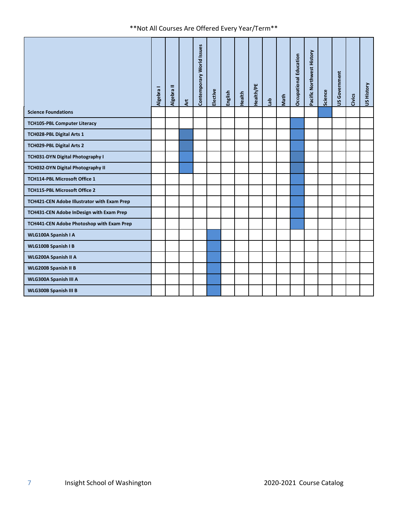|                                                | Algebra I | Algebra II | <b>Art</b> | Contemporary World Issues | Elective | English | Health | Health/PE | $\mathfrak{g}_\mathbb{E}$ | Math                     | <b>Occupational Education</b> | Pacific Northwest History | Science | JS Government | Civics | US History |
|------------------------------------------------|-----------|------------|------------|---------------------------|----------|---------|--------|-----------|---------------------------|--------------------------|-------------------------------|---------------------------|---------|---------------|--------|------------|
| <b>Science Foundations</b>                     |           |            |            |                           |          |         |        |           |                           |                          |                               |                           |         |               |        |            |
| <b>TCH105-PBL Computer Literacy</b>            |           |            |            |                           |          |         |        |           |                           |                          |                               |                           |         |               |        |            |
| TCH028-PBL Digital Arts 1                      |           |            |            |                           |          |         |        |           |                           |                          |                               |                           |         |               |        |            |
| TCH029-PBL Digital Arts 2                      |           |            |            |                           |          |         |        |           |                           |                          |                               |                           |         |               |        |            |
| TCH031-DYN Digital Photography I               |           |            |            |                           |          |         |        |           |                           |                          |                               |                           |         |               |        |            |
| TCH032-DYN Digital Photography II              |           |            |            |                           |          |         |        |           |                           |                          |                               |                           |         |               |        |            |
| TCH114-PBL Microsoft Office 1                  |           |            |            |                           |          |         |        |           |                           |                          |                               |                           |         |               |        |            |
| TCH115-PBL Microsoft Office 2                  |           |            |            |                           |          |         |        |           |                           |                          |                               |                           |         |               |        |            |
| TCH421-CEN Adobe Illustrator with Exam Prep    |           |            |            |                           |          |         |        |           |                           |                          |                               |                           |         |               |        |            |
| TCH431-CEN Adobe InDesign with Exam Prep       |           |            |            |                           |          |         |        |           |                           |                          |                               |                           |         |               |        |            |
| TCH441-CEN Adobe Photoshop with Exam Prep      |           |            |            |                           |          |         |        |           |                           |                          |                               |                           |         |               |        |            |
| WLG100A Spanish I A                            |           |            |            |                           |          |         |        |           |                           |                          |                               |                           |         |               |        |            |
| WLG100B Spanish I B                            |           |            |            |                           |          |         |        |           |                           |                          |                               |                           |         |               |        |            |
| WLG200A Spanish II A                           |           |            |            |                           |          |         |        |           |                           |                          |                               |                           |         |               |        |            |
| WLG200B Spanish II B                           |           |            |            |                           |          |         |        |           |                           |                          |                               |                           |         |               |        |            |
| WLG300A Spanish III A                          |           |            |            |                           |          |         |        |           |                           |                          |                               |                           |         |               |        |            |
| WLG300B Spanish III B                          |           |            |            |                           |          |         |        |           |                           |                          |                               |                           |         |               |        |            |
|                                                |           |            |            |                           |          |         |        |           |                           |                          |                               |                           |         |               |        |            |
| Insight School of Washington<br>$\overline{7}$ |           |            |            |                           |          |         |        |           |                           | 2020-2021 Course Catalog |                               |                           |         |               |        |            |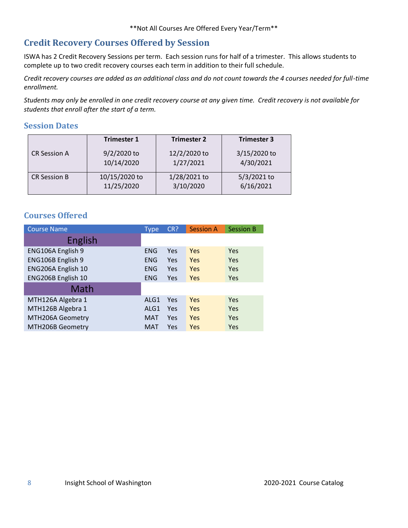## <span id="page-7-0"></span>**Credit Recovery Courses Offered by Session**

ISWA has 2 Credit Recovery Sessions per term. Each session runs for half of a trimester. This allows students to complete up to two credit recovery courses each term in addition to their full schedule.

*Credit recovery courses are added as an additional class and do not count towards the 4 courses needed for full-time enrollment.*

*Students may only be enrolled in one credit recovery course at any given time. Credit recovery is not available for students that enroll after the start of a term.*

#### <span id="page-7-1"></span>**Session Dates**

|                     | <b>Trimester 1</b> | <b>Trimester 2</b> | <b>Trimester 3</b> |
|---------------------|--------------------|--------------------|--------------------|
| <b>CR Session A</b> | 9/2/2020 to        | 12/2/2020 to       | 3/15/2020 to       |
|                     | 10/14/2020         | 1/27/2021          | 4/30/2021          |
| <b>CR Session B</b> | 10/15/2020 to      | 1/28/2021 to       | 5/3/2021 to        |
|                     | 11/25/2020         | 3/10/2020          | 6/16/2021          |

### <span id="page-7-2"></span>**Courses Offered**

| <b>Course Name</b> | <b>Type</b> | CR? | <b>Session A</b> | <b>Session B</b> |
|--------------------|-------------|-----|------------------|------------------|
| <b>English</b>     |             |     |                  |                  |
| ENG106A English 9  | ENG         | Yes | Yes              | Yes              |
| ENG106B English 9  | <b>ENG</b>  | Yes | Yes              | Yes              |
| ENG206A English 10 | <b>ENG</b>  | Yes | Yes              | Yes              |
| ENG206B English 10 | <b>ENG</b>  | Yes | <b>Yes</b>       | Yes              |
| Math               |             |     |                  |                  |
| MTH126A Algebra 1  | ALG1        | Yes | Yes              | Yes              |
| MTH126B Algebra 1  | ALG1        | Yes | Yes              | Yes              |
| MTH206A Geometry   | <b>MAT</b>  | Yes | Yes              | Yes              |
| MTH206B Geometry   | MAT         | Yes | Yes              | Yes              |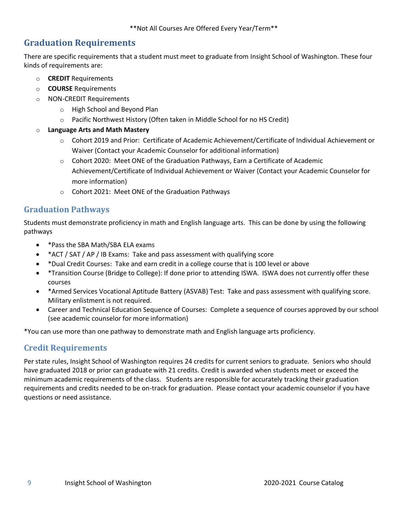## <span id="page-8-0"></span>**Graduation Requirements**

There are specific requirements that a student must meet to graduate from Insight School of Washington. These four kinds of requirements are:

- o **CREDIT** Requirements
- o **COURSE** Requirements
- o NON-CREDIT Requirements
	- o High School and Beyond Plan
	- $\circ$  Pacific Northwest History (Often taken in Middle School for no HS Credit)
- o **Language Arts and Math Mastery**
	- o Cohort 2019 and Prior: Certificate of Academic Achievement/Certificate of Individual Achievement or Waiver (Contact your Academic Counselor for additional information)
	- o Cohort 2020: Meet ONE of the Graduation Pathways, Earn a Certificate of Academic Achievement/Certificate of Individual Achievement or Waiver (Contact your Academic Counselor for more information)
	- o Cohort 2021: Meet ONE of the Graduation Pathways

### <span id="page-8-1"></span>**Graduation Pathways**

Students must demonstrate proficiency in math and English language arts. This can be done by using the following pathways

- \*Pass the SBA Math/SBA ELA exams
- \*ACT / SAT / AP / IB Exams: Take and pass assessment with qualifying score
- \*Dual Credit Courses: Take and earn credit in a college course that is 100 level or above
- \*Transition Course (Bridge to College): If done prior to attending ISWA. ISWA does not currently offer these courses
- \*Armed Services Vocational Aptitude Battery (ASVAB) Test: Take and pass assessment with qualifying score. Military enlistment is not required.
- Career and Technical Education Sequence of Courses: Complete a sequence of courses approved by our school (see academic counselor for more information)

\*You can use more than one pathway to demonstrate math and English language arts proficiency.

### <span id="page-8-2"></span>**Credit Requirements**

Per state rules, Insight School of Washington requires 24 credits for current seniors to graduate. Seniors who should have graduated 2018 or prior can graduate with 21 credits. Credit is awarded when students meet or exceed the minimum academic requirements of the class. Students are responsible for accurately tracking their graduation requirements and credits needed to be on-track for graduation. Please contact your academic counselor if you have questions or need assistance.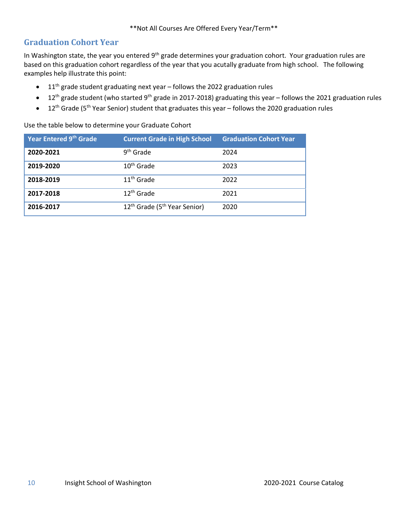## <span id="page-9-0"></span>**Graduation Cohort Year**

In Washington state, the year you entered 9<sup>th</sup> grade determines your graduation cohort. Your graduation rules are based on this graduation cohort regardless of the year that you acutally graduate from high school. The following examples help illustrate this point:

- $\bullet$  11<sup>th</sup> grade student graduating next year follows the 2022 graduation rules
- 12<sup>th</sup> grade student (who started 9<sup>th</sup> grade in 2017-2018) graduating this year follows the 2021 graduation rules
- 12<sup>th</sup> Grade (5<sup>th</sup> Year Senior) student that graduates this year follows the 2020 graduation rules

Use the table below to determine your Graduate Cohort

| Year Entered 9th Grade | <b>Current Grade in High School</b>                  | <b>Graduation Cohort Year</b> |
|------------------------|------------------------------------------------------|-------------------------------|
| 2020-2021              | 9 <sup>th</sup> Grade                                | 2024                          |
| 2019-2020              | 10 <sup>th</sup> Grade                               | 2023                          |
| 2018-2019              | $11th$ Grade                                         | 2022                          |
| 2017-2018              | $12th$ Grade                                         | 2021                          |
| 2016-2017              | 12 <sup>th</sup> Grade (5 <sup>th</sup> Year Senior) | 2020                          |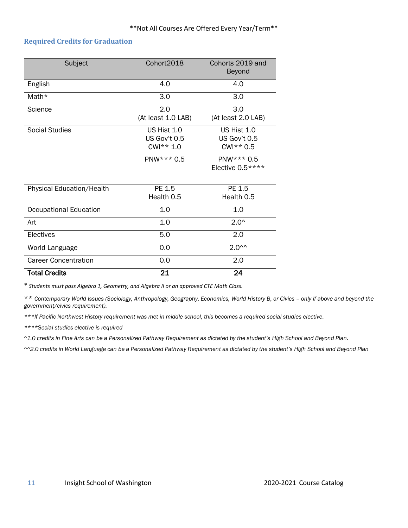#### <span id="page-10-0"></span>**Required Credits for Graduation**

| Subject                       | Cohort2018                                                         | Cohorts 2019 and<br>Beyond                                                      |
|-------------------------------|--------------------------------------------------------------------|---------------------------------------------------------------------------------|
| English                       | 4.0                                                                | 4.0                                                                             |
| Math*                         | 3.0                                                                | 3.0                                                                             |
| Science                       | 2.0<br>(At least 1.0 LAB)                                          | 3.0<br>(At least 2.0 LAB)                                                       |
| <b>Social Studies</b>         | <b>US Hist 1.0</b><br>US Gov't 0.5<br>$CWI^{**} 1.0$<br>PNW*** 0.5 | US Hist 1.0<br>US Gov't 0.5<br>$CWI^{**} 0.5$<br>PNW*** 0.5<br>Elective 0.5**** |
| Physical Education/Health     | PE 1.5<br>Health 0.5                                               | PE 1.5<br>Health 0.5                                                            |
| <b>Occupational Education</b> | 1.0                                                                | 1.0                                                                             |
| Art                           | 1.0                                                                | $2.0^{\circ}$                                                                   |
| Electives                     | 5.0                                                                | 2.0                                                                             |
| World Language                | 0.0                                                                | $2.0^{\sim}$                                                                    |
| <b>Career Concentration</b>   | 0.0                                                                | 2.0                                                                             |
| <b>Total Credits</b>          | 21                                                                 | 24                                                                              |

\* *Students must pass Algebra 1, Geometry, and Algebra II or an approved CTE Math Class.*

\*\* *Contemporary World Issues (Sociology, Anthropology, Geography, Economics, World History B, or Civics – only if above and beyond the government/civics requirement).*

*\*\*\*If Pacific Northwest History requirement was met in middle school, this becomes a required social studies elective.*

*\*\*\*\*Social studies elective is required*

*^1.0 credits in Fine Arts can be a Personalized Pathway Requirement as dictated by the student's High School and Beyond Plan.*

*^^2.0 credits in World Language can be a Personalized Pathway Requirement as dictated by the student's High School and Beyond Plan*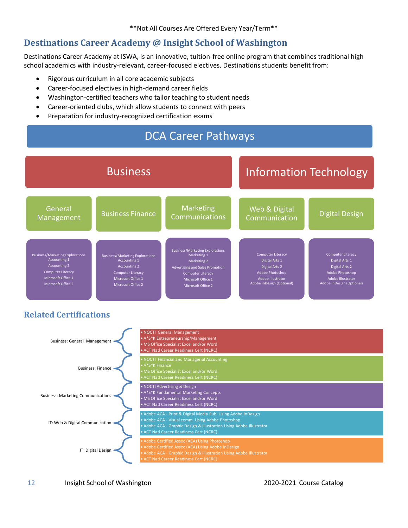## <span id="page-11-0"></span>**Destinations Career Academy @ Insight School of Washington**

Destinations Career Academy at ISWA, is an innovative, tuition-free online program that combines traditional high school academics with industry-relevant, career-focused electives. Destinations students benefit from:

- Rigorous curriculum in all core academic subjects
- Career-focused electives in high-demand career fields
- Washington-certified teachers who tailor teaching to student needs
- Career-oriented clubs, which allow students to connect with peers
- Preparation for industry-recognized certification exams



## <span id="page-11-1"></span>**Related Certifications**



12 Insight School of Washington 2020-2021 Course Catalog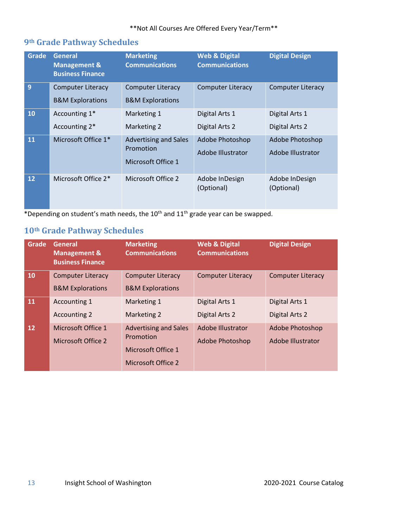## <span id="page-12-0"></span>**9th Grade Pathway Schedules**

| Grade     | <b>General</b><br><b>Management &amp;</b><br><b>Business Finance</b> | <b>Marketing</b><br><b>Communications</b>                       | <b>Web &amp; Digital</b><br><b>Communications</b> | <b>Digital Design</b>                |
|-----------|----------------------------------------------------------------------|-----------------------------------------------------------------|---------------------------------------------------|--------------------------------------|
| 9         | <b>Computer Literacy</b><br><b>B&amp;M Explorations</b>              | <b>Computer Literacy</b><br><b>B&amp;M Explorations</b>         | <b>Computer Literacy</b>                          | <b>Computer Literacy</b>             |
| <b>10</b> | Accounting 1*<br>Accounting 2*                                       | Marketing 1<br>Marketing 2                                      | Digital Arts 1<br>Digital Arts 2                  | Digital Arts 1<br>Digital Arts 2     |
| <b>11</b> | Microsoft Office 1*                                                  | <b>Advertising and Sales</b><br>Promotion<br>Microsoft Office 1 | Adobe Photoshop<br>Adobe Illustrator              | Adobe Photoshop<br>Adobe Illustrator |
| 12        | Microsoft Office 2*                                                  | Microsoft Office 2                                              | Adobe InDesign<br>(Optional)                      | Adobe InDesign<br>(Optional)         |

\*Depending on student's math needs, the  $10^{th}$  and  $11^{th}$  grade year can be swapped.

## <span id="page-12-1"></span>**10th Grade Pathway Schedules**

| Grade | General<br><b>Management &amp;</b><br><b>Business Finance</b> | <b>Marketing</b><br><b>Communications</b>                                             | <b>Web &amp; Digital</b><br><b>Communications</b> | <b>Digital Design</b>                       |
|-------|---------------------------------------------------------------|---------------------------------------------------------------------------------------|---------------------------------------------------|---------------------------------------------|
| 10    | <b>Computer Literacy</b><br><b>B&amp;M Explorations</b>       | <b>Computer Literacy</b><br><b>B&amp;M Explorations</b>                               | <b>Computer Literacy</b>                          | <b>Computer Literacy</b>                    |
| 11    | Accounting 1<br><b>Accounting 2</b>                           | Marketing 1<br>Marketing 2                                                            | Digital Arts 1<br>Digital Arts 2                  | Digital Arts 1<br>Digital Arts 2            |
| 12    | Microsoft Office 1<br>Microsoft Office 2                      | <b>Advertising and Sales</b><br>Promotion<br>Microsoft Office 1<br>Microsoft Office 2 | Adobe Illustrator<br>Adobe Photoshop              | <b>Adobe Photoshop</b><br>Adobe Illustrator |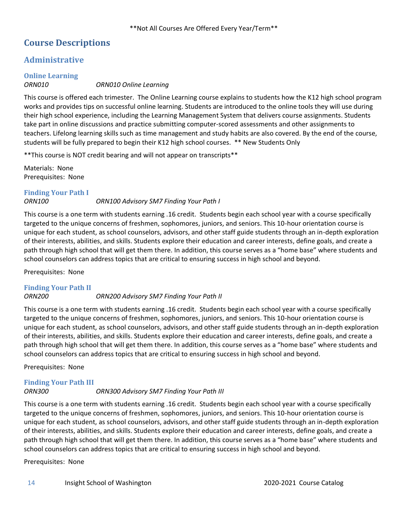## <span id="page-13-0"></span>**Course Descriptions**

## <span id="page-13-1"></span>**Administrative**

## <span id="page-13-2"></span>**Online Learning**

#### *ORN010 ORN010 Online Learning*

This course is offered each trimester. The Online Learning course explains to students how the K12 high school program works and provides tips on successful online learning. Students are introduced to the online tools they will use during their high school experience, including the Learning Management System that delivers course assignments. Students take part in online discussions and practice submitting computer-scored assessments and other assignments to teachers. Lifelong learning skills such as time management and study habits are also covered. By the end of the course, students will be fully prepared to begin their K12 high school courses. \*\* New Students Only

\*\*This course is NOT credit bearing and will not appear on transcripts\*\*

Materials: None Prerequisites: None

## <span id="page-13-3"></span>**Finding Your Path I**

#### *ORN100 ORN100 Advisory SM7 Finding Your Path I*

This course is a one term with students earning .16 credit. Students begin each school year with a course specifically targeted to the unique concerns of freshmen, sophomores, juniors, and seniors. This 10-hour orientation course is unique for each student, as school counselors, advisors, and other staff guide students through an in-depth exploration of their interests, abilities, and skills. Students explore their education and career interests, define goals, and create a path through high school that will get them there. In addition, this course serves as a "home base" where students and school counselors can address topics that are critical to ensuring success in high school and beyond.

Prerequisites: None

#### <span id="page-13-4"></span>**Finding Your Path II**

#### *ORN200 ORN200 Advisory SM7 Finding Your Path II*

This course is a one term with students earning .16 credit. Students begin each school year with a course specifically targeted to the unique concerns of freshmen, sophomores, juniors, and seniors. This 10-hour orientation course is unique for each student, as school counselors, advisors, and other staff guide students through an in-depth exploration of their interests, abilities, and skills. Students explore their education and career interests, define goals, and create a path through high school that will get them there. In addition, this course serves as a "home base" where students and school counselors can address topics that are critical to ensuring success in high school and beyond.

Prerequisites: None

## <span id="page-13-5"></span>**Finding Your Path III**

#### *ORN300 ORN300 Advisory SM7 Finding Your Path III*

This course is a one term with students earning .16 credit. Students begin each school year with a course specifically targeted to the unique concerns of freshmen, sophomores, juniors, and seniors. This 10-hour orientation course is unique for each student, as school counselors, advisors, and other staff guide students through an in-depth exploration of their interests, abilities, and skills. Students explore their education and career interests, define goals, and create a path through high school that will get them there. In addition, this course serves as a "home base" where students and school counselors can address topics that are critical to ensuring success in high school and beyond.

Prerequisites: None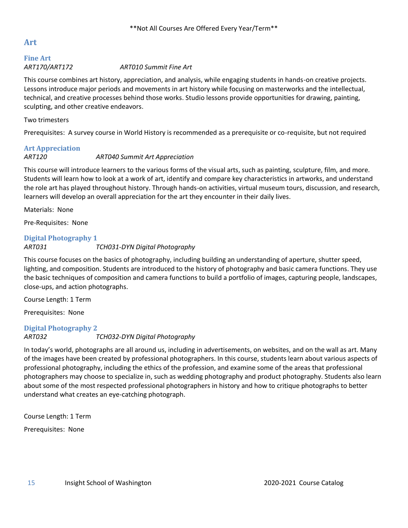### <span id="page-14-0"></span>**Art**

#### <span id="page-14-1"></span>**Fine Art** *ART170/ART172 ART010 Summit Fine Art*

This course combines art history, appreciation, and analysis, while engaging students in hands-on creative projects. Lessons introduce major periods and movements in art history while focusing on masterworks and the intellectual, technical, and creative processes behind those works. Studio lessons provide opportunities for drawing, painting, sculpting, and other creative endeavors.

#### Two trimesters

Prerequisites: A survey course in World History is recommended as a prerequisite or co-requisite, but not required

### <span id="page-14-2"></span>**Art Appreciation**

#### *ART120 ART040 Summit Art Appreciation*

This course will introduce learners to the various forms of the visual arts, such as painting, sculpture, film, and more. Students will learn how to look at a work of art, identify and compare key characteristics in artworks, and understand the role art has played throughout history. Through hands-on activities, virtual museum tours, discussion, and research, learners will develop an overall appreciation for the art they encounter in their daily lives.

Materials: None

Pre-Requisites: None

#### <span id="page-14-3"></span>**Digital Photography 1**

#### *ART031 TCH031-DYN Digital Photography*

This course focuses on the basics of photography, including building an understanding of aperture, shutter speed, lighting, and composition. Students are introduced to the history of photography and basic camera functions. They use the basic techniques of composition and camera functions to build a portfolio of images, capturing people, landscapes, close-ups, and action photographs.

Course Length: 1 Term

Prerequisites: None

## <span id="page-14-4"></span>**Digital Photography 2**

*ART032 TCH032-DYN Digital Photography*

In today's world, photographs are all around us, including in advertisements, on websites, and on the wall as art. Many of the images have been created by professional photographers. In this course, students learn about various aspects of professional photography, including the ethics of the profession, and examine some of the areas that professional photographers may choose to specialize in, such as wedding photography and product photography. Students also learn about some of the most respected professional photographers in history and how to critique photographs to better understand what creates an eye-catching photograph.

Course Length: 1 Term Prerequisites: None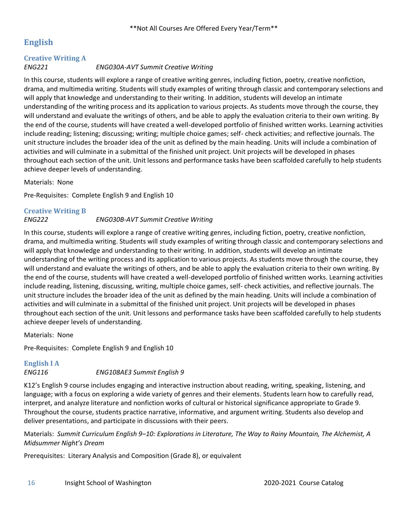## <span id="page-15-0"></span>**English**

## <span id="page-15-1"></span>**Creative Writing A**

*ENG221 ENG030A-AVT Summit Creative Writing*

In this course, students will explore a range of creative writing genres, including fiction, poetry, creative nonfiction, drama, and multimedia writing. Students will study examples of writing through classic and contemporary selections and will apply that knowledge and understanding to their writing. In addition, students will develop an intimate understanding of the writing process and its application to various projects. As students move through the course, they will understand and evaluate the writings of others, and be able to apply the evaluation criteria to their own writing. By the end of the course, students will have created a well-developed portfolio of finished written works. Learning activities include reading; listening; discussing; writing; multiple choice games; self- check activities; and reflective journals. The unit structure includes the broader idea of the unit as defined by the main heading. Units will include a combination of activities and will culminate in a submittal of the finished unit project. Unit projects will be developed in phases throughout each section of the unit. Unit lessons and performance tasks have been scaffolded carefully to help students achieve deeper levels of understanding.

Materials: None

Pre-Requisites: Complete English 9 and English 10

# <span id="page-15-2"></span>**Creative Writing B**

*ENG222 ENG030B-AVT Summit Creative Writing*

In this course, students will explore a range of creative writing genres, including fiction, poetry, creative nonfiction, drama, and multimedia writing. Students will study examples of writing through classic and contemporary selections and will apply that knowledge and understanding to their writing. In addition, students will develop an intimate understanding of the writing process and its application to various projects. As students move through the course, they will understand and evaluate the writings of others, and be able to apply the evaluation criteria to their own writing. By the end of the course, students will have created a well-developed portfolio of finished written works. Learning activities include reading, listening, discussing, writing, multiple choice games, self- check activities, and reflective journals. The unit structure includes the broader idea of the unit as defined by the main heading. Units will include a combination of activities and will culminate in a submittal of the finished unit project. Unit projects will be developed in phases throughout each section of the unit. Unit lessons and performance tasks have been scaffolded carefully to help students achieve deeper levels of understanding.

Materials: None

Pre-Requisites: Complete English 9 and English 10

# <span id="page-15-3"></span>**English I A**

*ENG116 ENG108AE3 Summit English 9*

K12's English 9 course includes engaging and interactive instruction about reading, writing, speaking, listening, and language; with a focus on exploring a wide variety of genres and their elements. Students learn how to carefully read, interpret, and analyze literature and nonfiction works of cultural or historical significance appropriate to Grade 9. Throughout the course, students practice narrative, informative, and argument writing. Students also develop and deliver presentations, and participate in discussions with their peers.

Materials: *Summit Curriculum English 9–10: Explorations in Literature, The Way to Rainy Mountain, The Alchemist, A Midsummer Night's Dream* 

Prerequisites: Literary Analysis and Composition (Grade 8), or equivalent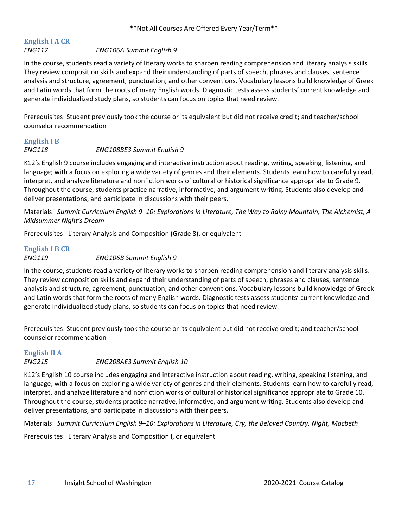## <span id="page-16-0"></span>**English I A CR**

#### *ENG117 ENG106A Summit English 9*

In the course, students read a variety of literary works to sharpen reading comprehension and literary analysis skills. They review composition skills and expand their understanding of parts of speech, phrases and clauses, sentence analysis and structure, agreement, punctuation, and other conventions. Vocabulary lessons build knowledge of Greek and Latin words that form the roots of many English words. Diagnostic tests assess students' current knowledge and generate individualized study plans, so students can focus on topics that need review.

Prerequisites: Student previously took the course or its equivalent but did not receive credit; and teacher/school counselor recommendation

### <span id="page-16-1"></span>**English I B** *ENG118 ENG108BE3 Summit English 9*

K12's English 9 course includes engaging and interactive instruction about reading, writing, speaking, listening, and language; with a focus on exploring a wide variety of genres and their elements. Students learn how to carefully read, interpret, and analyze literature and nonfiction works of cultural or historical significance appropriate to Grade 9. Throughout the course, students practice narrative, informative, and argument writing. Students also develop and deliver presentations, and participate in discussions with their peers.

Materials: *Summit Curriculum English 9–10: Explorations in Literature, The Way to Rainy Mountain, The Alchemist, A Midsummer Night's Dream* 

Prerequisites: Literary Analysis and Composition (Grade 8), or equivalent

### <span id="page-16-2"></span>**English I B CR** *ENG119 ENG106B Summit English 9*

In the course, students read a variety of literary works to sharpen reading comprehension and literary analysis skills. They review composition skills and expand their understanding of parts of speech, phrases and clauses, sentence analysis and structure, agreement, punctuation, and other conventions. Vocabulary lessons build knowledge of Greek and Latin words that form the roots of many English words. Diagnostic tests assess students' current knowledge and generate individualized study plans, so students can focus on topics that need review.

Prerequisites: Student previously took the course or its equivalent but did not receive credit; and teacher/school counselor recommendation

#### <span id="page-16-3"></span>**English II A**

#### *ENG215 ENG208AE3 Summit English 10*

K12's English 10 course includes engaging and interactive instruction about reading, writing, speaking listening, and language; with a focus on exploring a wide variety of genres and their elements. Students learn how to carefully read, interpret, and analyze literature and nonfiction works of cultural or historical significance appropriate to Grade 10. Throughout the course, students practice narrative, informative, and argument writing. Students also develop and deliver presentations, and participate in discussions with their peers.

Materials: *Summit Curriculum English 9–10: Explorations in Literature, Cry, the Beloved Country, Night, Macbeth*

Prerequisites: Literary Analysis and Composition I, or equivalent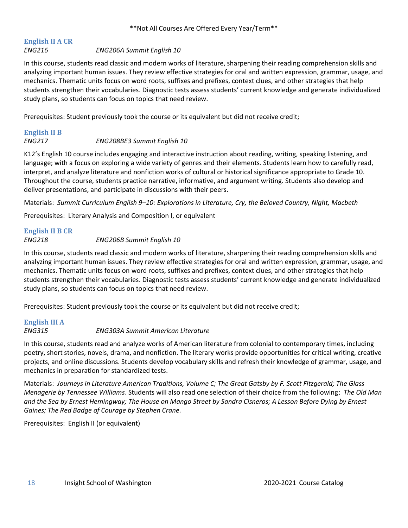#### <span id="page-17-0"></span>**English II A CR** *ENG216 ENG206A Summit English 10*

In this course, students read classic and modern works of literature, sharpening their reading comprehension skills and analyzing important human issues. They review effective strategies for oral and written expression, grammar, usage, and mechanics. Thematic units focus on word roots, suffixes and prefixes, context clues, and other strategies that help students strengthen their vocabularies. Diagnostic tests assess students' current knowledge and generate individualized study plans, so students can focus on topics that need review.

Prerequisites: Student previously took the course or its equivalent but did not receive credit;

## <span id="page-17-1"></span>**English II B**

#### *ENG217 ENG208BE3 Summit English 10*

K12's English 10 course includes engaging and interactive instruction about reading, writing, speaking listening, and language; with a focus on exploring a wide variety of genres and their elements. Students learn how to carefully read, interpret, and analyze literature and nonfiction works of cultural or historical significance appropriate to Grade 10. Throughout the course, students practice narrative, informative, and argument writing. Students also develop and deliver presentations, and participate in discussions with their peers.

Materials: *Summit Curriculum English 9–10: Explorations in Literature, Cry, the Beloved Country, Night, Macbeth*

Prerequisites: Literary Analysis and Composition I, or equivalent

# <span id="page-17-2"></span>**English II B CR**

#### *ENG218 ENG206B Summit English 10*

In this course, students read classic and modern works of literature, sharpening their reading comprehension skills and analyzing important human issues. They review effective strategies for oral and written expression, grammar, usage, and mechanics. Thematic units focus on word roots, suffixes and prefixes, context clues, and other strategies that help students strengthen their vocabularies. Diagnostic tests assess students' current knowledge and generate individualized study plans, so students can focus on topics that need review.

Prerequisites: Student previously took the course or its equivalent but did not receive credit;

## <span id="page-17-3"></span>**English III A**

#### *ENG315 ENG303A Summit American Literature*

In this course, students read and analyze works of American literature from colonial to contemporary times, including poetry, short stories, novels, drama, and nonfiction. The literary works provide opportunities for critical writing, creative projects, and online discussions. Students develop vocabulary skills and refresh their knowledge of grammar, usage, and mechanics in preparation for standardized tests.

Materials: *Journeys in Literature American Traditions, Volume C; The Great Gatsby by F. Scott Fitzgerald; The Glass Menagerie by Tennessee Williams*. Students will also read one selection of their choice from the following: *The Old Man and the Sea by Ernest Hemingway; The House on Mango Street by Sandra Cisneros; A Lesson Before Dying by Ernest Gaines; The Red Badge of Courage by Stephen Crane.*

Prerequisites: English II (or equivalent)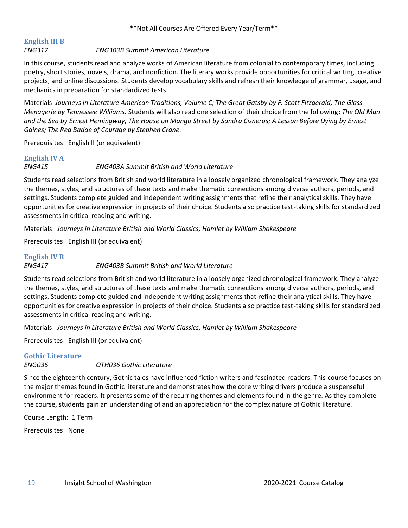## <span id="page-18-0"></span>**English III B**

#### *ENG317 ENG303B Summit American Literature*

In this course, students read and analyze works of American literature from colonial to contemporary times, including poetry, short stories, novels, drama, and nonfiction. The literary works provide opportunities for critical writing, creative projects, and online discussions. Students develop vocabulary skills and refresh their knowledge of grammar, usage, and mechanics in preparation for standardized tests.

Materials *Journeys in Literature American Traditions, Volume C; The Great Gatsby by F. Scott Fitzgerald; The Glass Menagerie by Tennessee Williams.* Students will also read one selection of their choice from the following: *The Old Man and the Sea by Ernest Hemingway; The House on Mango Street by Sandra Cisneros; A Lesson Before Dying by Ernest Gaines; The Red Badge of Courage by Stephen Crane.*

Prerequisites: English II (or equivalent)

## <span id="page-18-1"></span>**English IV A**

#### *ENG415 ENG403A Summit British and World Literature*

Students read selections from British and world literature in a loosely organized chronological framework. They analyze the themes, styles, and structures of these texts and make thematic connections among diverse authors, periods, and settings. Students complete guided and independent writing assignments that refine their analytical skills. They have opportunities for creative expression in projects of their choice. Students also practice test-taking skills for standardized assessments in critical reading and writing.

Materials: *Journeys in Literature British and World Classics; Hamlet by William Shakespeare*

Prerequisites: English III (or equivalent)

### <span id="page-18-2"></span>**English IV B** *ENG417 ENG403B Summit British and World Literature*

Students read selections from British and world literature in a loosely organized chronological framework. They analyze the themes, styles, and structures of these texts and make thematic connections among diverse authors, periods, and settings. Students complete guided and independent writing assignments that refine their analytical skills. They have opportunities for creative expression in projects of their choice. Students also practice test-taking skills for standardized assessments in critical reading and writing.

Materials: *Journeys in Literature British and World Classics; Hamlet by William Shakespeare*

Prerequisites: English III (or equivalent)

#### <span id="page-18-3"></span>**Gothic Literature**

#### *ENG036 OTH036 Gothic Literature*

Since the eighteenth century, Gothic tales have influenced fiction writers and fascinated readers. This course focuses on the major themes found in Gothic literature and demonstrates how the core writing drivers produce a suspenseful environment for readers. It presents some of the recurring themes and elements found in the genre. As they complete the course, students gain an understanding of and an appreciation for the complex nature of Gothic literature.

Course Length: 1 Term

Prerequisites: None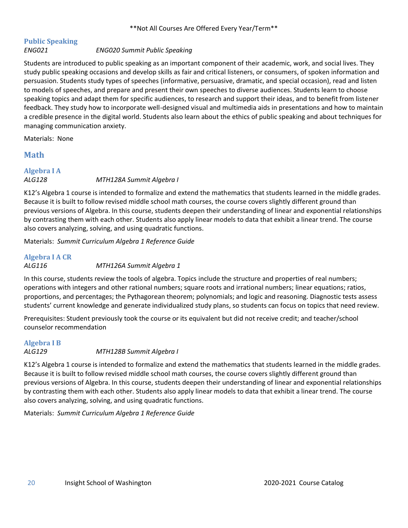# <span id="page-19-0"></span>**Public Speaking**

#### *ENG021 ENG020 Summit Public Speaking*

Students are introduced to public speaking as an important component of their academic, work, and social lives. They study public speaking occasions and develop skills as fair and critical listeners, or consumers, of spoken information and persuasion. Students study types of speeches (informative, persuasive, dramatic, and special occasion), read and listen to models of speeches, and prepare and present their own speeches to diverse audiences. Students learn to choose speaking topics and adapt them for specific audiences, to research and support their ideas, and to benefit from listener feedback. They study how to incorporate well-designed visual and multimedia aids in presentations and how to maintain a credible presence in the digital world. Students also learn about the ethics of public speaking and about techniques for managing communication anxiety.

Materials: None

#### <span id="page-19-1"></span>**Math**

#### <span id="page-19-2"></span>**Algebra I A** *ALG128 MTH128A Summit Algebra I*

K12's Algebra 1 course is intended to formalize and extend the mathematics that students learned in the middle grades. Because it is built to follow revised middle school math courses, the course covers slightly different ground than previous versions of Algebra. In this course, students deepen their understanding of linear and exponential relationships by contrasting them with each other. Students also apply linear models to data that exhibit a linear trend. The course also covers analyzing, solving, and using quadratic functions.

Materials: *Summit Curriculum Algebra 1 Reference Guide*

#### <span id="page-19-3"></span>**Algebra I A CR** *ALG116 MTH126A Summit Algebra 1*

In this course, students review the tools of algebra. Topics include the structure and properties of real numbers; operations with integers and other rational numbers; square roots and irrational numbers; linear equations; ratios, proportions, and percentages; the Pythagorean theorem; polynomials; and logic and reasoning. Diagnostic tests assess students' current knowledge and generate individualized study plans, so students can focus on topics that need review.

Prerequisites: Student previously took the course or its equivalent but did not receive credit; and teacher/school counselor recommendation

#### <span id="page-19-4"></span>**Algebra I B**

#### *ALG129 MTH128B Summit Algebra I*

K12's Algebra 1 course is intended to formalize and extend the mathematics that students learned in the middle grades. Because it is built to follow revised middle school math courses, the course covers slightly different ground than previous versions of Algebra. In this course, students deepen their understanding of linear and exponential relationships by contrasting them with each other. Students also apply linear models to data that exhibit a linear trend. The course also covers analyzing, solving, and using quadratic functions.

Materials: *Summit Curriculum Algebra 1 Reference Guide*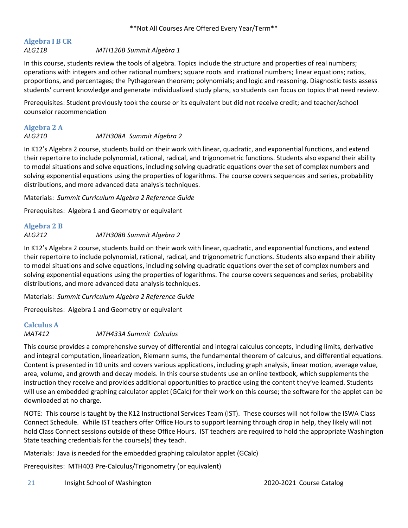## <span id="page-20-0"></span>**Algebra I B CR**

#### *ALG118 MTH126B Summit Algebra 1*

In this course, students review the tools of algebra. Topics include the structure and properties of real numbers; operations with integers and other rational numbers; square roots and irrational numbers; linear equations; ratios, proportions, and percentages; the Pythagorean theorem; polynomials; and logic and reasoning. Diagnostic tests assess students' current knowledge and generate individualized study plans, so students can focus on topics that need review.

Prerequisites: Student previously took the course or its equivalent but did not receive credit; and teacher/school counselor recommendation

### <span id="page-20-1"></span>**Algebra 2 A**

#### *ALG210 MTH308A Summit Algebra 2*

In K12's Algebra 2 course, students build on their work with linear, quadratic, and exponential functions, and extend their repertoire to include polynomial, rational, radical, and trigonometric functions. Students also expand their ability to model situations and solve equations, including solving quadratic equations over the set of complex numbers and solving exponential equations using the properties of logarithms. The course covers sequences and series, probability distributions, and more advanced data analysis techniques.

Materials: *Summit Curriculum Algebra 2 Reference Guide*

Prerequisites: Algebra 1 and Geometry or equivalent

## <span id="page-20-2"></span>**Algebra 2 B** *ALG212 MTH308B Summit Algebra 2*

In K12's Algebra 2 course, students build on their work with linear, quadratic, and exponential functions, and extend their repertoire to include polynomial, rational, radical, and trigonometric functions. Students also expand their ability to model situations and solve equations, including solving quadratic equations over the set of complex numbers and solving exponential equations using the properties of logarithms. The course covers sequences and series, probability distributions, and more advanced data analysis techniques.

Materials: *Summit Curriculum Algebra 2 Reference Guide*

Prerequisites: Algebra 1 and Geometry or equivalent

## <span id="page-20-3"></span>**Calculus A**

*MAT412 MTH433A Summit Calculus*

This course provides a comprehensive survey of differential and integral calculus concepts, including limits, derivative and integral computation, linearization, Riemann sums, the fundamental theorem of calculus, and differential equations. Content is presented in 10 units and covers various applications, including graph analysis, linear motion, average value, area, volume, and growth and decay models. In this course students use an online textbook, which supplements the instruction they receive and provides additional opportunities to practice using the content they've learned. Students will use an embedded graphing calculator applet (GCalc) for their work on this course; the software for the applet can be downloaded at no charge.

NOTE: This course is taught by the K12 Instructional Services Team (IST). These courses will not follow the ISWA Class Connect Schedule. While IST teachers offer Office Hours to support learning through drop in help, they likely will not hold Class Connect sessions outside of these Office Hours. IST teachers are required to hold the appropriate Washington State teaching credentials for the course(s) they teach.

Materials: Java is needed for the embedded graphing calculator applet (GCalc)

Prerequisites: MTH403 Pre-Calculus/Trigonometry (or equivalent)

21 Insight School of Washington 2020-2021 Course Catalog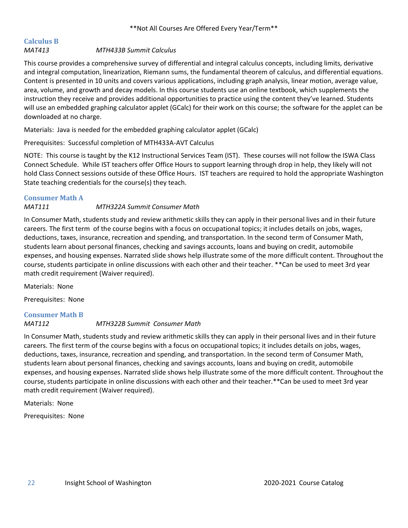# <span id="page-21-0"></span>**Calculus B**

#### *MAT413 MTH433B Summit Calculus*

This course provides a comprehensive survey of differential and integral calculus concepts, including limits, derivative and integral computation, linearization, Riemann sums, the fundamental theorem of calculus, and differential equations. Content is presented in 10 units and covers various applications, including graph analysis, linear motion, average value, area, volume, and growth and decay models. In this course students use an online textbook, which supplements the instruction they receive and provides additional opportunities to practice using the content they've learned. Students will use an embedded graphing calculator applet (GCalc) for their work on this course; the software for the applet can be downloaded at no charge.

Materials: Java is needed for the embedded graphing calculator applet (GCalc)

Prerequisites: Successful completion of MTH433A-AVT Calculus

NOTE: This course is taught by the K12 Instructional Services Team (IST). These courses will not follow the ISWA Class Connect Schedule. While IST teachers offer Office Hours to support learning through drop in help, they likely will not hold Class Connect sessions outside of these Office Hours. IST teachers are required to hold the appropriate Washington State teaching credentials for the course(s) they teach.

#### <span id="page-21-1"></span>**Consumer Math A**

### *MAT111 MTH322A Summit Consumer Math*

In Consumer Math, students study and review arithmetic skills they can apply in their personal lives and in their future careers. The first term of the course begins with a focus on occupational topics; it includes details on jobs, wages, deductions, taxes, insurance, recreation and spending, and transportation. In the second term of Consumer Math, students learn about personal finances, checking and savings accounts, loans and buying on credit, automobile expenses, and housing expenses. Narrated slide shows help illustrate some of the more difficult content. Throughout the course, students participate in online discussions with each other and their teacher. \*\*Can be used to meet 3rd year math credit requirement (Waiver required).

Materials: None

Prerequisites: None

## <span id="page-21-2"></span>**Consumer Math B**

*MAT112 MTH322B Summit Consumer Math*

In Consumer Math, students study and review arithmetic skills they can apply in their personal lives and in their future careers. The first term of the course begins with a focus on occupational topics; it includes details on jobs, wages, deductions, taxes, insurance, recreation and spending, and transportation. In the second term of Consumer Math, students learn about personal finances, checking and savings accounts, loans and buying on credit, automobile expenses, and housing expenses. Narrated slide shows help illustrate some of the more difficult content. Throughout the course, students participate in online discussions with each other and their teacher.\*\*Can be used to meet 3rd year math credit requirement (Waiver required).

Materials: None

Prerequisites: None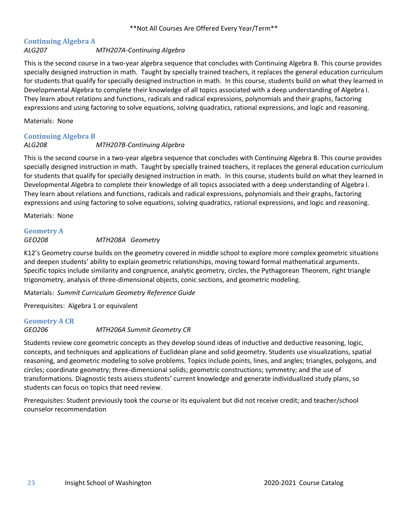#### <span id="page-22-0"></span>**Continuing Algebra A** *ALG207 MTH207A-Continuing Algebra*

This is the second course in a two-year algebra sequence that concludes with Continuing Algebra B. This course provides specially designed instruction in math. Taught by specially trained teachers, it replaces the general education curriculum for students that qualify for specially designed instruction in math. In this course, students build on what they learned in Developmental Algebra to complete their knowledge of all topics associated with a deep understanding of Algebra I. They learn about relations and functions, radicals and radical expressions, polynomials and their graphs, factoring expressions and using factoring to solve equations, solving quadratics, rational expressions, and logic and reasoning.

Materials: None

#### <span id="page-22-1"></span>**Continuing Algebra B**

## *ALG208 MTH207B-Continuing Algebra*

This is the second course in a two-year algebra sequence that concludes with Continuing Algebra B. This course provides specially designed instruction in math. Taught by specially trained teachers, it replaces the general education curriculum for students that qualify for specially designed instruction in math. In this course, students build on what they learned in Developmental Algebra to complete their knowledge of all topics associated with a deep understanding of Algebra I. They learn about relations and functions, radicals and radical expressions, polynomials and their graphs, factoring expressions and using factoring to solve equations, solving quadratics, rational expressions, and logic and reasoning.

Materials: None

## <span id="page-22-2"></span>**Geometry A**

#### *GEO208 MTH208A Geometry*

K12's Geometry course builds on the geometry covered in middle school to explore more complex geometric situations and deepen students' ability to explain geometric relationships, moving toward formal mathematical arguments. Specific topics include similarity and congruence, analytic geometry, circles, the Pythagorean Theorem, right triangle trigonometry, analysis of three-dimensional objects, conic sections, and geometric modeling.

Materials: *Summit Curriculum Geometry Reference Guide*

Prerequisites: Algebra 1 or equivalent

#### <span id="page-22-3"></span>**Geometry A CR**

*GEO206 MTH206A Summit Geometry CR*

Students review core geometric concepts as they develop sound ideas of inductive and deductive reasoning, logic, concepts, and techniques and applications of Euclidean plane and solid geometry. Students use visualizations, spatial reasoning, and geometric modeling to solve problems. Topics include points, lines, and angles; triangles, polygons, and circles; coordinate geometry; three-dimensional solids; geometric constructions; symmetry; and the use of transformations. Diagnostic tests assess students' current knowledge and generate individualized study plans, so students can focus on topics that need review.

Prerequisites: Student previously took the course or its equivalent but did not receive credit; and teacher/school counselor recommendation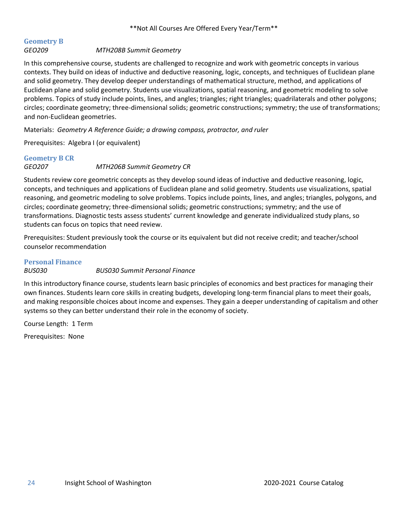## <span id="page-23-0"></span>**Geometry B**

#### *GEO209 MTH208B Summit Geometry*

In this comprehensive course, students are challenged to recognize and work with geometric concepts in various contexts. They build on ideas of inductive and deductive reasoning, logic, concepts, and techniques of Euclidean plane and solid geometry. They develop deeper understandings of mathematical structure, method, and applications of Euclidean plane and solid geometry. Students use visualizations, spatial reasoning, and geometric modeling to solve problems. Topics of study include points, lines, and angles; triangles; right triangles; quadrilaterals and other polygons; circles; coordinate geometry; three-dimensional solids; geometric constructions; symmetry; the use of transformations; and non-Euclidean geometries.

Materials: *Geometry A Reference Guide; a drawing compass, protractor, and ruler*

Prerequisites: Algebra I (or equivalent)

### <span id="page-23-1"></span>**Geometry B CR** *GEO207 MTH206B Summit Geometry CR*

Students review core geometric concepts as they develop sound ideas of inductive and deductive reasoning, logic, concepts, and techniques and applications of Euclidean plane and solid geometry. Students use visualizations, spatial reasoning, and geometric modeling to solve problems. Topics include points, lines, and angles; triangles, polygons, and circles; coordinate geometry; three-dimensional solids; geometric constructions; symmetry; and the use of transformations. Diagnostic tests assess students' current knowledge and generate individualized study plans, so students can focus on topics that need review.

Prerequisites: Student previously took the course or its equivalent but did not receive credit; and teacher/school counselor recommendation

#### <span id="page-23-2"></span>**Personal Finance**

#### *BUS030 BUS030 Summit Personal Finance*

In this introductory finance course, students learn basic principles of economics and best practices for managing their own finances. Students learn core skills in creating budgets, developing long-term financial plans to meet their goals, and making responsible choices about income and expenses. They gain a deeper understanding of capitalism and other systems so they can better understand their role in the economy of society.

Course Length: 1 Term

Prerequisites: None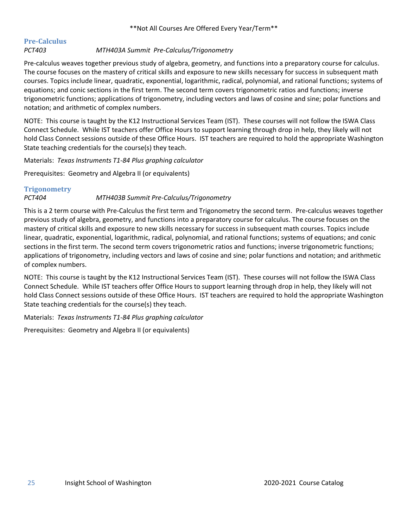#### <span id="page-24-0"></span>**Pre-Calculus** *PCT403 MTH403A Summit Pre-Calculus/Trigonometry*

Pre-calculus weaves together previous study of algebra, geometry, and functions into a preparatory course for calculus. The course focuses on the mastery of critical skills and exposure to new skills necessary for success in subsequent math courses. Topics include linear, quadratic, exponential, logarithmic, radical, polynomial, and rational functions; systems of equations; and conic sections in the first term. The second term covers trigonometric ratios and functions; inverse trigonometric functions; applications of trigonometry, including vectors and laws of cosine and sine; polar functions and notation; and arithmetic of complex numbers.

NOTE: This course is taught by the K12 Instructional Services Team (IST). These courses will not follow the ISWA Class Connect Schedule. While IST teachers offer Office Hours to support learning through drop in help, they likely will not hold Class Connect sessions outside of these Office Hours. IST teachers are required to hold the appropriate Washington State teaching credentials for the course(s) they teach.

Materials: *Texas Instruments T1-84 Plus graphing calculator*

Prerequisites: Geometry and Algebra II (or equivalents)

#### <span id="page-24-1"></span>**Trigonometry**

#### *PCT404 MTH403B Summit Pre-Calculus/Trigonometry*

This is a 2 term course with Pre-Calculus the first term and Trigonometry the second term. Pre-calculus weaves together previous study of algebra, geometry, and functions into a preparatory course for calculus. The course focuses on the mastery of critical skills and exposure to new skills necessary for success in subsequent math courses. Topics include linear, quadratic, exponential, logarithmic, radical, polynomial, and rational functions; systems of equations; and conic sections in the first term. The second term covers trigonometric ratios and functions; inverse trigonometric functions; applications of trigonometry, including vectors and laws of cosine and sine; polar functions and notation; and arithmetic of complex numbers.

NOTE: This course is taught by the K12 Instructional Services Team (IST). These courses will not follow the ISWA Class Connect Schedule. While IST teachers offer Office Hours to support learning through drop in help, they likely will not hold Class Connect sessions outside of these Office Hours. IST teachers are required to hold the appropriate Washington State teaching credentials for the course(s) they teach.

Materials: *Texas Instruments T1-84 Plus graphing calculator*

Prerequisites: Geometry and Algebra II (or equivalents)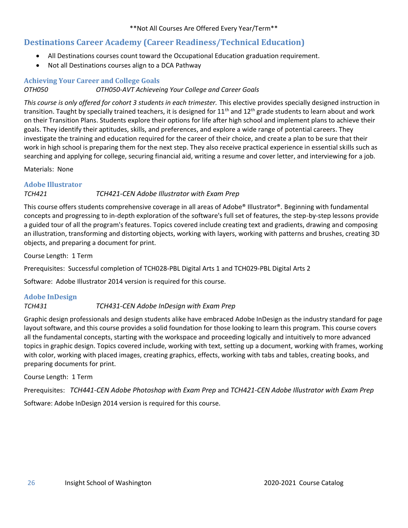## <span id="page-25-0"></span>**Destinations Career Academy (Career Readiness/Technical Education)**

- All Destinations courses count toward the Occupational Education graduation requirement.
- Not all Destinations courses align to a DCA Pathway

#### <span id="page-25-1"></span>**Achieving Your Career and College Goals**

#### *OTH050 OTH050-AVT Achieveing Your College and Career Goals*

*This course is only offered for cohort 3 students in each trimester.* This elective provides specially designed instruction in transition. Taught by specially trained teachers, it is designed for 11<sup>th</sup> and 12<sup>th</sup> grade students to learn about and work on their Transition Plans. Students explore their options for life after high school and implement plans to achieve their goals. They identify their aptitudes, skills, and preferences, and explore a wide range of potential careers. They investigate the training and education required for the career of their choice, and create a plan to be sure that their work in high school is preparing them for the next step. They also receive practical experience in essential skills such as searching and applying for college, securing financial aid, writing a resume and cover letter, and interviewing for a job.

Materials: None

#### <span id="page-25-2"></span>**Adobe Illustrator**

### *TCH421 TCH421-CEN Adobe Illustrator with Exam Prep*

This course offers students comprehensive coverage in all areas of Adobe® Illustrator®. Beginning with fundamental concepts and progressing to in-depth exploration of the software's full set of features, the step-by-step lessons provide a guided tour of all the program's features. Topics covered include creating text and gradients, drawing and composing an illustration, transforming and distorting objects, working with layers, working with patterns and brushes, creating 3D objects, and preparing a document for print.

Course Length: 1 Term

Prerequisites: Successful completion of TCH028-PBL Digital Arts 1 and TCH029-PBL Digital Arts 2

Software: Adobe Illustrator 2014 version is required for this course.

### <span id="page-25-3"></span>**Adobe InDesign**

#### *TCH431 TCH431-CEN Adobe InDesign with Exam Prep*

Graphic design professionals and design students alike have embraced Adobe InDesign as the industry standard for page layout software, and this course provides a solid foundation for those looking to learn this program. This course covers all the fundamental concepts, starting with the workspace and proceeding logically and intuitively to more advanced topics in graphic design. Topics covered include, working with text, setting up a document, working with frames, working with color, working with placed images, creating graphics, effects, working with tabs and tables, creating books, and preparing documents for print.

Course Length: 1 Term

Prerequisites: *TCH441-CEN Adobe Photoshop with Exam Prep* and *TCH421-CEN Adobe Illustrator with Exam Prep* Software: Adobe InDesign 2014 version is required for this course.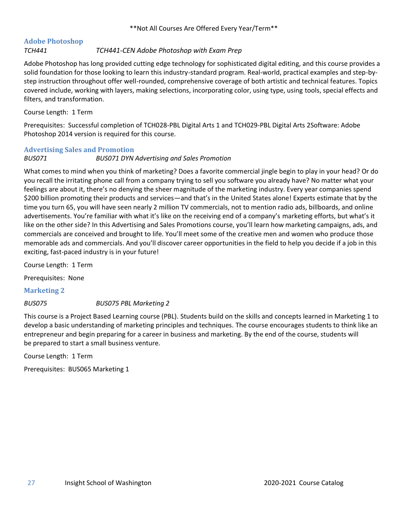## <span id="page-26-0"></span>**Adobe Photoshop**

#### *TCH441 TCH441-CEN Adobe Photoshop with Exam Prep*

Adobe Photoshop has long provided cutting edge technology for sophisticated digital editing, and this course provides a solid foundation for those looking to learn this industry-standard program. Real-world, practical examples and step-bystep instruction throughout offer well-rounded, comprehensive coverage of both artistic and technical features. Topics covered include, working with layers, making selections, incorporating color, using type, using tools, special effects and filters, and transformation.

Course Length: 1 Term

Prerequisites: Successful completion of TCH028-PBL Digital Arts 1 and TCH029-PBL Digital Arts 2Software: Adobe Photoshop 2014 version is required for this course.

#### <span id="page-26-1"></span>**Advertising Sales and Promotion**

*BUS071 BUS071 DYN Advertising and Sales Promotion*

What comes to mind when you think of marketing? Does a favorite commercial jingle begin to play in your head? Or do you recall the irritating phone call from a company trying to sell you software you already have? No matter what your feelings are about it, there's no denying the sheer magnitude of the marketing industry. Every year companies spend \$200 billion promoting their products and services—and that's in the United States alone! Experts estimate that by the time you turn 65, you will have seen nearly 2 million TV commercials, not to mention radio ads, billboards, and online advertisements. You're familiar with what it's like on the receiving end of a company's marketing efforts, but what's it like on the other side? In this Advertising and Sales Promotions course, you'll learn how marketing campaigns, ads, and commercials are conceived and brought to life. You'll meet some of the creative men and women who produce those memorable ads and commercials. And you'll discover career opportunities in the field to help you decide if a job in this exciting, fast-paced industry is in your future!

Course Length: 1 Term

Prerequisites: None

**Marketing 2**

#### *BUS075 BUS075 PBL Marketing 2*

This course is a Project Based Learning course (PBL). Students build on the skills and concepts learned in Marketing 1 to develop a basic understanding of marketing principles and techniques. The course encourages students to think like an entrepreneur and begin preparing for a career in business and marketing. By the end of the course, students will be prepared to start a small business venture.

Course Length: 1 Term

Prerequisites: BUS065 Marketing 1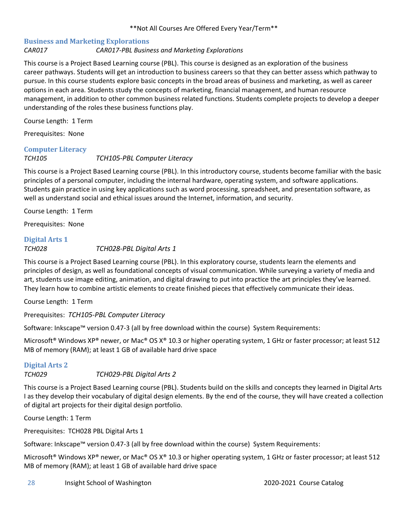#### <span id="page-27-0"></span>**Business and Marketing Explorations** *CAR017 CAR017-PBL Business and Marketing Explorations*

This course is a Project Based Learning course (PBL). This course is designed as an exploration of the business career pathways. Students will get an introduction to business careers so that they can better assess which pathway to pursue. In this course students explore basic concepts in the broad areas of business and marketing, as well as career options in each area. Students study the concepts of marketing, financial management, and human resource management, in addition to other common business related functions. Students complete projects to develop a deeper understanding of the roles these business functions play.

Course Length: 1 Term

Prerequisites: None

#### <span id="page-27-1"></span>**Computer Literacy**

#### *TCH105 TCH105-PBL Computer Literacy*

This course is a Project Based Learning course (PBL). In this introductory course, students become familiar with the basic principles of a personal computer, including the internal hardware, operating system, and software applications. Students gain practice in using key applications such as word processing, spreadsheet, and presentation software, as well as understand social and ethical issues around the Internet, information, and security.

Course Length: 1 Term

Prerequisites: None

#### <span id="page-27-2"></span>**Digital Arts 1** *TCH028 TCH028-PBL Digital Arts 1*

This course is a Project Based Learning course (PBL). In this exploratory course, students learn the elements and principles of design, as well as foundational concepts of visual communication. While surveying a variety of media and art, students use image editing, animation, and digital drawing to put into practice the art principles they've learned. They learn how to combine artistic elements to create finished pieces that effectively communicate their ideas.

Course Length: 1 Term

Prerequisites: *TCH105-PBL Computer Literacy*

Software: Inkscape™ version 0.47-3 (all by free download within the course) System Requirements:

Microsoft® Windows XP® newer, or Mac® OS X® 10.3 or higher operating system, 1 GHz or faster processor; at least 512 MB of memory (RAM); at least 1 GB of available hard drive space

#### <span id="page-27-3"></span>**Digital Arts 2**

*TCH029 TCH029-PBL Digital Arts 2*

This course is a Project Based Learning course (PBL). Students build on the skills and concepts they learned in Digital Arts I as they develop their vocabulary of digital design elements. By the end of the course, they will have created a collection of digital art projects for their digital design portfolio.

Course Length: 1 Term

Prerequisites: TCH028 PBL Digital Arts 1

Software: Inkscape™ version 0.47-3 (all by free download within the course) System Requirements:

Microsoft® Windows XP® newer, or Mac® OS X® 10.3 or higher operating system, 1 GHz or faster processor; at least 512 MB of memory (RAM); at least 1 GB of available hard drive space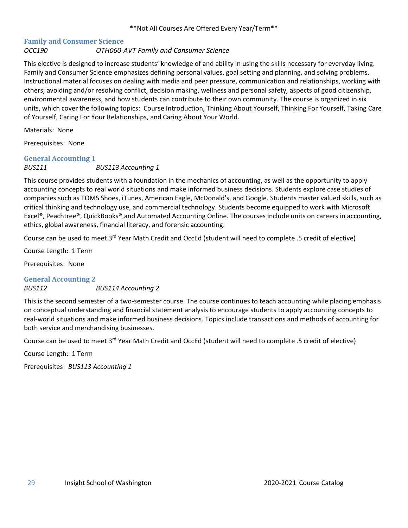#### <span id="page-28-0"></span>**Family and Consumer Science** *OCC190 OTH060-AVT Family and Consumer Science*

This elective is designed to increase students' knowledge of and ability in using the skills necessary for everyday living. Family and Consumer Science emphasizes defining personal values, goal setting and planning, and solving problems. Instructional material focuses on dealing with media and peer pressure, communication and relationships, working with others, avoiding and/or resolving conflict, decision making, wellness and personal safety, aspects of good citizenship, environmental awareness, and how students can contribute to their own community. The course is organized in six units, which cover the following topics: Course Introduction, Thinking About Yourself, Thinking For Yourself, Taking Care of Yourself, Caring For Your Relationships, and Caring About Your World.

Materials: None

Prerequisites: None

#### <span id="page-28-1"></span>**General Accounting 1**

*BUS111 BUS113 Accounting 1*

This course provides students with a foundation in the mechanics of accounting, as well as the opportunity to apply accounting concepts to real world situations and make informed business decisions. Students explore case studies of companies such as TOMS Shoes, iTunes, American Eagle, McDonald's, and Google. Students master valued skills, such as critical thinking and technology use, and commercial technology. Students become equipped to work with Microsoft Excel®, Peachtree®, QuickBooks®,and Automated Accounting Online. The courses include units on careers in accounting, ethics, global awareness, financial literacy, and forensic accounting.

Course can be used to meet 3<sup>rd</sup> Year Math Credit and OccEd (student will need to complete .5 credit of elective)

Course Length: 1 Term

Prerequisites: None

<span id="page-28-2"></span>**General Accounting 2** *BUS112 BUS114 Accounting 2*

This is the second semester of a two-semester course. The course continues to teach accounting while placing emphasis on conceptual understanding and financial statement analysis to encourage students to apply accounting concepts to real-world situations and make informed business decisions. Topics include transactions and methods of accounting for both service and merchandising businesses.

Course can be used to meet 3<sup>rd</sup> Year Math Credit and OccEd (student will need to complete .5 credit of elective)

Course Length: 1 Term

Prerequisites: *BUS113 Accounting 1*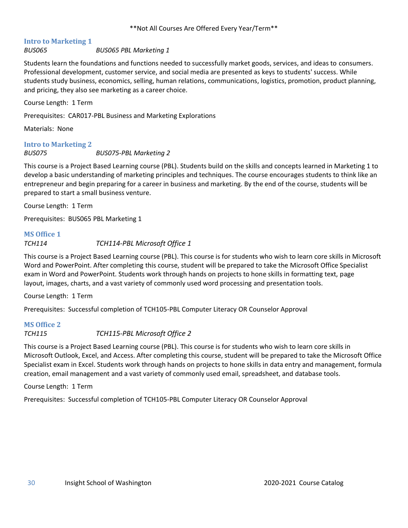### <span id="page-29-0"></span>**Intro to Marketing 1**

*BUS065 BUS065 PBL Marketing 1*

Students learn the foundations and functions needed to successfully market goods, services, and ideas to consumers. Professional development, customer service, and social media are presented as keys to students' success. While students study business, economics, selling, human relations, communications, logistics, promotion, product planning, and pricing, they also see marketing as a career choice.

Course Length: 1 Term

Prerequisites: CAR017-PBL Business and Marketing Explorations

Materials: None

#### <span id="page-29-1"></span>**Intro to Marketing 2**

#### *BUS075 BUS075-PBL Marketing 2*

This course is a Project Based Learning course (PBL). Students build on the skills and concepts learned in Marketing 1 to develop a basic understanding of marketing principles and techniques. The course encourages students to think like an entrepreneur and begin preparing for a career in business and marketing. By the end of the course, students will be prepared to start a small business venture.

Course Length: 1 Term

Prerequisites: BUS065 PBL Marketing 1

#### <span id="page-29-2"></span>**MS Office 1**

#### *TCH114 TCH114-PBL Microsoft Office 1*

This course is a Project Based Learning course (PBL). This course is for students who wish to learn core skills in Microsoft Word and PowerPoint. After completing this course, student will be prepared to take the Microsoft Office Specialist exam in Word and PowerPoint. Students work through hands on projects to hone skills in formatting text, page layout, images, charts, and a vast variety of commonly used word processing and presentation tools.

Course Length: 1 Term

Prerequisites: Successful completion of TCH105-PBL Computer Literacy OR Counselor Approval

### <span id="page-29-3"></span>**MS Office 2**

#### *TCH115 TCH115-PBL Microsoft Office 2*

This course is a Project Based Learning course (PBL). This course is for students who wish to learn core skills in Microsoft Outlook, Excel, and Access. After completing this course, student will be prepared to take the Microsoft Office Specialist exam in Excel. Students work through hands on projects to hone skills in data entry and management, formula creation, email management and a vast variety of commonly used email, spreadsheet, and database tools.

Course Length: 1 Term

Prerequisites: Successful completion of TCH105-PBL Computer Literacy OR Counselor Approval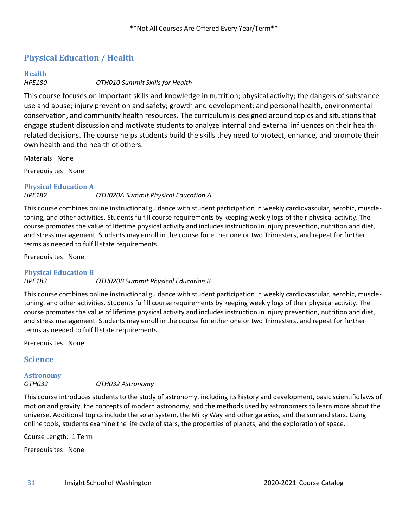## <span id="page-30-0"></span>**Physical Education / Health**

# <span id="page-30-1"></span>**Health**

*HPE180 OTH010 Summit Skills for Health*

This course focuses on important skills and knowledge in nutrition; physical activity; the dangers of substance use and abuse; injury prevention and safety; growth and development; and personal health, environmental conservation, and community health resources. The curriculum is designed around topics and situations that engage student discussion and motivate students to analyze internal and external influences on their healthrelated decisions. The course helps students build the skills they need to protect, enhance, and promote their own health and the health of others.

Materials: None

Prerequisites: None

<span id="page-30-2"></span>**Physical Education A** *HPE182 OTH020A Summit Physical Education A*

This course combines online instructional guidance with student participation in weekly cardiovascular, aerobic, muscletoning, and other activities. Students fulfill course requirements by keeping weekly logs of their physical activity. The course promotes the value of lifetime physical activity and includes instruction in injury prevention, nutrition and diet, and stress management. Students may enroll in the course for either one or two Trimesters, and repeat for further terms as needed to fulfill state requirements.

Prerequisites: None

#### <span id="page-30-3"></span>**Physical Education B**

#### *HPE183 OTH020B Summit Physical Education B*

This course combines online instructional guidance with student participation in weekly cardiovascular, aerobic, muscletoning, and other activities. Students fulfill course requirements by keeping weekly logs of their physical activity. The course promotes the value of lifetime physical activity and includes instruction in injury prevention, nutrition and diet, and stress management. Students may enroll in the course for either one or two Trimesters, and repeat for further terms as needed to fulfill state requirements.

Prerequisites: None

#### <span id="page-30-4"></span>**Science**

## <span id="page-30-5"></span>**Astronomy**

#### *OTH032 OTH032 Astronomy*

This course introduces students to the study of astronomy, including its history and development, basic scientific laws of motion and gravity, the concepts of modern astronomy, and the methods used by astronomers to learn more about the universe. Additional topics include the solar system, the Milky Way and other galaxies, and the sun and stars. Using online tools, students examine the life cycle of stars, the properties of planets, and the exploration of space.

Course Length: 1 Term

Prerequisites: None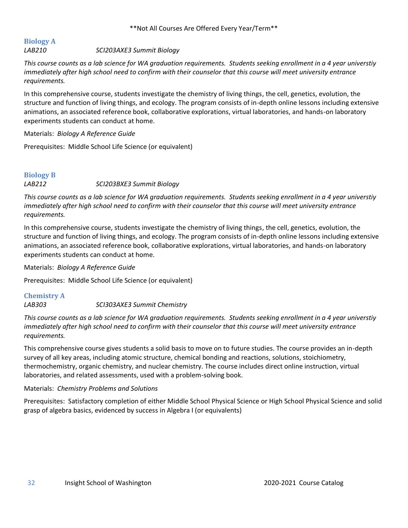## <span id="page-31-0"></span>**Biology A**

*LAB210 SCI203AXE3 Summit Biology*

*This course counts as a lab science for WA graduation requirements. Students seeking enrollment in a 4 year universtiy immediately after high school need to confirm with their counselor that this course will meet university entrance requirements.*

In this comprehensive course, students investigate the chemistry of living things, the cell, genetics, evolution, the structure and function of living things, and ecology. The program consists of in-depth online lessons including extensive animations, an associated reference book, collaborative explorations, virtual laboratories, and hands-on laboratory experiments students can conduct at home.

Materials: *Biology A Reference Guide*

Prerequisites: Middle School Life Science (or equivalent)

## <span id="page-31-1"></span>**Biology B** *LAB212 SCI203BXE3 Summit Biology*

*This course counts as a lab science for WA graduation requirements. Students seeking enrollment in a 4 year universtiy immediately after high school need to confirm with their counselor that this course will meet university entrance requirements.*

In this comprehensive course, students investigate the chemistry of living things, the cell, genetics, evolution, the structure and function of living things, and ecology. The program consists of in-depth online lessons including extensive animations, an associated reference book, collaborative explorations, virtual laboratories, and hands-on laboratory experiments students can conduct at home.

Materials: *Biology A Reference Guide*

Prerequisites: Middle School Life Science (or equivalent)

## <span id="page-31-2"></span>**Chemistry A** *LAB303 SCI303AXE3 Summit Chemistry*

*This course counts as a lab science for WA graduation requirements. Students seeking enrollment in a 4 year universtiy immediately after high school need to confirm with their counselor that this course will meet university entrance requirements.*

This comprehensive course gives students a solid basis to move on to future studies. The course provides an in-depth survey of all key areas, including atomic structure, chemical bonding and reactions, solutions, stoichiometry, thermochemistry, organic chemistry, and nuclear chemistry. The course includes direct online instruction, virtual laboratories, and related assessments, used with a problem-solving book.

#### Materials: *Chemistry Problems and Solutions*

Prerequisites: Satisfactory completion of either Middle School Physical Science or High School Physical Science and solid grasp of algebra basics, evidenced by success in Algebra I (or equivalents)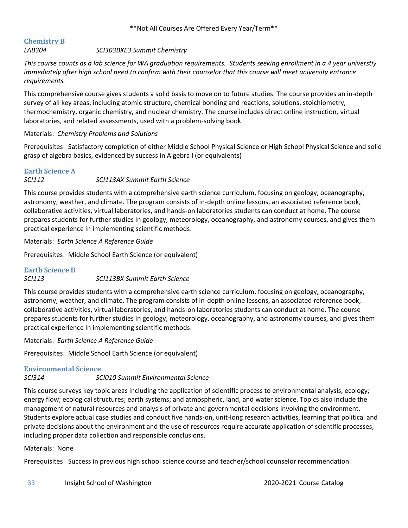#### <span id="page-32-0"></span>**Chemistry B** *LAB304 SCI303BXE3 Summit Chemistry*

*This course counts as a lab science for WA graduation requirements. Students seeking enrollment in a 4 year universtiy immediately after high school need to confirm with their counselor that this course will meet university entrance requirements.*

This comprehensive course gives students a solid basis to move on to future studies. The course provides an in-depth survey of all key areas, including atomic structure, chemical bonding and reactions, solutions, stoichiometry, thermochemistry, organic chemistry, and nuclear chemistry. The course includes direct online instruction, virtual laboratories, and related assessments, used with a problem-solving book.

#### Materials: *Chemistry Problems and Solutions*

Prerequisites: Satisfactory completion of either Middle School Physical Science or High School Physical Science and solid grasp of algebra basics, evidenced by success in Algebra I (or equivalents)

#### <span id="page-32-1"></span>**Earth Science A**

#### *SCI112 SCI113AX Summit Earth Science*

This course provides students with a comprehensive earth science curriculum, focusing on geology, oceanography, astronomy, weather, and climate. The program consists of in-depth online lessons, an associated reference book, collaborative activities, virtual laboratories, and hands-on laboratories students can conduct at home. The course prepares students for further studies in geology, meteorology, oceanography, and astronomy courses, and gives them practical experience in implementing scientific methods.

Materials: *Earth Science A Reference Guide*

Prerequisites: Middle School Earth Science (or equivalent)

#### <span id="page-32-2"></span>**Earth Science B**

#### *SCI113 SCI113BX Summit Earth Science*

This course provides students with a comprehensive earth science curriculum, focusing on geology, oceanography, astronomy, weather, and climate. The program consists of in-depth online lessons, an associated reference book, collaborative activities, virtual laboratories, and hands-on laboratories students can conduct at home. The course prepares students for further studies in geology, meteorology, oceanography, and astronomy courses, and gives them practical experience in implementing scientific methods.

Materials: *Earth Science A Reference Guide*

Prerequisites: Middle School Earth Science (or equivalent)

#### <span id="page-32-3"></span>**Environmental Science**

*SCI314 SCI010 Summit Environmental Science*

This course surveys key topic areas including the application of scientific process to environmental analysis; ecology; energy flow; ecological structures; earth systems; and atmospheric, land, and water science. Topics also include the management of natural resources and analysis of private and governmental decisions involving the environment. Students explore actual case studies and conduct five hands-on, unit-long research activities, learning that political and private decisions about the environment and the use of resources require accurate application of scientific processes, including proper data collection and responsible conclusions.

#### Materials: None

Prerequisites: Success in previous high school science course and teacher/school counselor recommendation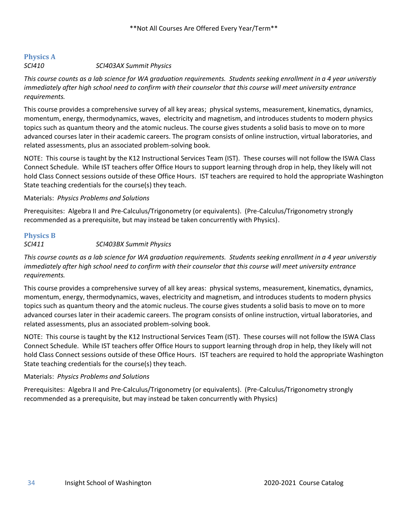## <span id="page-33-0"></span>**Physics A**

#### *SCI410 SCI403AX Summit Physics*

*This course counts as a lab science for WA graduation requirements. Students seeking enrollment in a 4 year universtiy immediately after high school need to confirm with their counselor that this course will meet university entrance requirements.*

This course provides a comprehensive survey of all key areas; physical systems, measurement, kinematics, dynamics, momentum, energy, thermodynamics, waves, electricity and magnetism, and introduces students to modern physics topics such as quantum theory and the atomic nucleus. The course gives students a solid basis to move on to more advanced courses later in their academic careers. The program consists of online instruction, virtual laboratories, and related assessments, plus an associated problem-solving book.

NOTE: This course is taught by the K12 Instructional Services Team (IST). These courses will not follow the ISWA Class Connect Schedule. While IST teachers offer Office Hours to support learning through drop in help, they likely will not hold Class Connect sessions outside of these Office Hours. IST teachers are required to hold the appropriate Washington State teaching credentials for the course(s) they teach.

#### Materials: *Physics Problems and Solutions*

Prerequisites: Algebra II and Pre-Calculus/Trigonometry (or equivalents). (Pre-Calculus/Trigonometry strongly recommended as a prerequisite, but may instead be taken concurrently with Physics).

### <span id="page-33-1"></span>**Physics B**

#### *SCI411 SCI403BX Summit Physics*

*This course counts as a lab science for WA graduation requirements. Students seeking enrollment in a 4 year universtiy immediately after high school need to confirm with their counselor that this course will meet university entrance requirements.*

This course provides a comprehensive survey of all key areas: physical systems, measurement, kinematics, dynamics, momentum, energy, thermodynamics, waves, electricity and magnetism, and introduces students to modern physics topics such as quantum theory and the atomic nucleus. The course gives students a solid basis to move on to more advanced courses later in their academic careers. The program consists of online instruction, virtual laboratories, and related assessments, plus an associated problem-solving book.

NOTE: This course is taught by the K12 Instructional Services Team (IST). These courses will not follow the ISWA Class Connect Schedule. While IST teachers offer Office Hours to support learning through drop in help, they likely will not hold Class Connect sessions outside of these Office Hours. IST teachers are required to hold the appropriate Washington State teaching credentials for the course(s) they teach.

#### Materials: *Physics Problems and Solutions*

Prerequisites: Algebra II and Pre-Calculus/Trigonometry (or equivalents). (Pre-Calculus/Trigonometry strongly recommended as a prerequisite, but may instead be taken concurrently with Physics)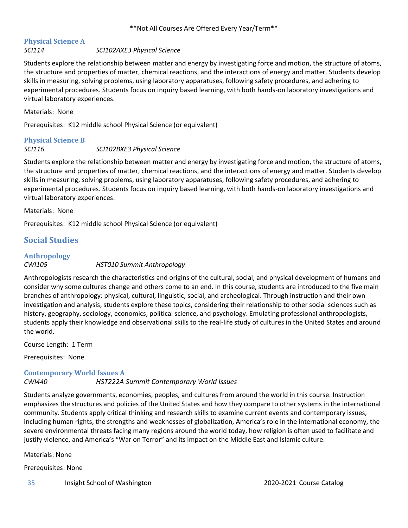#### <span id="page-34-0"></span>**Physical Science A** *SCI114 SCI102AXE3 Physical Science*

Students explore the relationship between matter and energy by investigating force and motion, the structure of atoms, the structure and properties of matter, chemical reactions, and the interactions of energy and matter. Students develop skills in measuring, solving problems, using laboratory apparatuses, following safety procedures, and adhering to experimental procedures. Students focus on inquiry based learning, with both hands-on laboratory investigations and virtual laboratory experiences.

Materials: None

Prerequisites: K12 middle school Physical Science (or equivalent)

## <span id="page-34-1"></span>**Physical Science B**

#### *SCI116 SCI102BXE3 Physical Science*

Students explore the relationship between matter and energy by investigating force and motion, the structure of atoms, the structure and properties of matter, chemical reactions, and the interactions of energy and matter. Students develop skills in measuring, solving problems, using laboratory apparatuses, following safety procedures, and adhering to experimental procedures. Students focus on inquiry based learning, with both hands-on laboratory investigations and virtual laboratory experiences.

Materials: None

Prerequisites: K12 middle school Physical Science (or equivalent)

## <span id="page-34-2"></span>**Social Studies**

#### <span id="page-34-3"></span>**Anthropology** *CWI105 HST010 Summit Anthropology*

Anthropologists research the characteristics and origins of the cultural, social, and physical development of humans and consider why some cultures change and others come to an end. In this course, students are introduced to the five main branches of anthropology: physical, cultural, linguistic, social, and archeological. Through instruction and their own investigation and analysis, students explore these topics, considering their relationship to other social sciences such as history, geography, sociology, economics, political science, and psychology. Emulating professional anthropologists, students apply their knowledge and observational skills to the real-life study of cultures in the United States and around the world.

Course Length: 1 Term

Prerequisites: None

#### <span id="page-34-4"></span>**Contemporary World Issues A**

#### *CWI440 HST222A Summit Contemporary World Issues*

Students analyze governments, economies, peoples, and cultures from around the world in this course. Instruction emphasizes the structures and policies of the United States and how they compare to other systems in the international community. Students apply critical thinking and research skills to examine current events and contemporary issues, including human rights, the strengths and weaknesses of globalization, America's role in the international economy, the severe environmental threats facing many regions around the world today, how religion is often used to facilitate and justify violence, and America's "War on Terror" and its impact on the Middle East and Islamic culture.

Materials: None

Prerequisites: None

35 Insight School of Washington 2020-2021 Course Catalog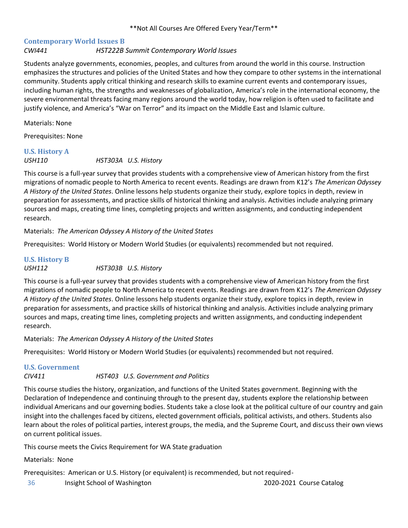### <span id="page-35-0"></span>**Contemporary World Issues B**

#### *CWI441 HST222B Summit Contemporary World Issues*

Students analyze governments, economies, peoples, and cultures from around the world in this course. Instruction emphasizes the structures and policies of the United States and how they compare to other systems in the international community. Students apply critical thinking and research skills to examine current events and contemporary issues, including human rights, the strengths and weaknesses of globalization, America's role in the international economy, the severe environmental threats facing many regions around the world today, how religion is often used to facilitate and justify violence, and America's "War on Terror" and its impact on the Middle East and Islamic culture.

Materials: None

Prerequisites: None

## <span id="page-35-1"></span>**U.S. History A**

*USH110 HST303A U.S. History*

This course is a full-year survey that provides students with a comprehensive view of American history from the first migrations of nomadic people to North America to recent events. Readings are drawn from K12's *The American Odyssey A History of the United States*. Online lessons help students organize their study, explore topics in depth, review in preparation for assessments, and practice skills of historical thinking and analysis. Activities include analyzing primary sources and maps, creating time lines, completing projects and written assignments, and conducting independent research.

Materials: *The American Odyssey A History of the United States*

Prerequisites: World History or Modern World Studies (or equivalents) recommended but not required.

#### <span id="page-35-2"></span>**U.S. History B** *USH112 HST303B U.S. History*

This course is a full-year survey that provides students with a comprehensive view of American history from the first migrations of nomadic people to North America to recent events. Readings are drawn from K12's *The American Odyssey A History of the United States*. Online lessons help students organize their study, explore topics in depth, review in preparation for assessments, and practice skills of historical thinking and analysis. Activities include analyzing primary sources and maps, creating time lines, completing projects and written assignments, and conducting independent research.

Materials: *The American Odyssey A History of the United States*

Prerequisites: World History or Modern World Studies (or equivalents) recommended but not required.

#### <span id="page-35-3"></span>**U.S. Government**

#### *CIV411 HST403 U.S. Government and Politics*

This course studies the history, organization, and functions of the United States government. Beginning with the Declaration of Independence and continuing through to the present day, students explore the relationship between individual Americans and our governing bodies. Students take a close look at the political culture of our country and gain insight into the challenges faced by citizens, elected government officials, political activists, and others. Students also learn about the roles of political parties, interest groups, the media, and the Supreme Court, and discuss their own views on current political issues.

This course meets the Civics Requirement for WA State graduation

Materials: None

Prerequisites: American or U.S. History (or equivalent) is recommended, but not required-

36 Insight School of Washington 2020-2021 Course Catalog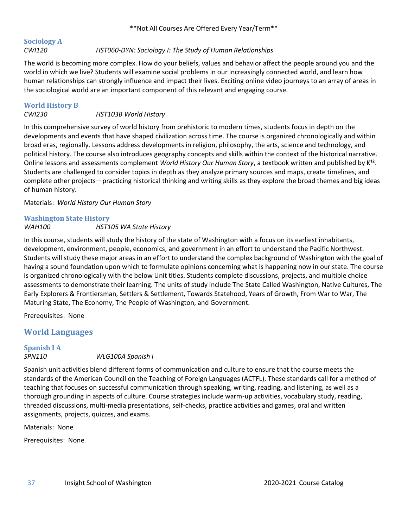#### <span id="page-36-0"></span>**Sociology A** *CWI120 HST060-DYN: Sociology I: The Study of Human Relationships*

The world is becoming more complex. How do your beliefs, values and behavior affect the people around you and the world in which we live? Students will examine social problems in our increasingly connected world, and learn how human relationships can strongly influence and impact their lives. Exciting online video journeys to an array of areas in the sociological world are an important component of this relevant and engaging course.

## <span id="page-36-1"></span>**World History B**

#### *CWI230 HST103B World History*

In this comprehensive survey of world history from prehistoric to modern times, students focus in depth on the developments and events that have shaped civilization across time. The course is organized chronologically and within broad eras, regionally. Lessons address developments in religion, philosophy, the arts, science and technology, and political history. The course also introduces geography concepts and skills within the context of the historical narrative. Online lessons and assessments complement *World History Our Human Story*, a textbook written and published by K<sup>12</sup>. Students are challenged to consider topics in depth as they analyze primary sources and maps, create timelines, and complete other projects—practicing historical thinking and writing skills as they explore the broad themes and big ideas of human history.

Materials: *World History Our Human Story*

## <span id="page-36-2"></span>**Washington State History**

### *WAH100 HST105 WA State History*

In this course, students will study the history of the state of Washington with a focus on its earliest inhabitants, development, environment, people, economics, and government in an effort to understand the Pacific Northwest. Students will study these major areas in an effort to understand the complex background of Washington with the goal of having a sound foundation upon which to formulate opinions concerning what is happening now in our state. The course is organized chronologically with the below Unit titles. Students complete discussions, projects, and multiple choice assessments to demonstrate their learning. The units of study include The State Called Washington, Native Cultures, The Early Explorers & Frontiersman, Settlers & Settlement, Towards Statehood, Years of Growth, From War to War, The Maturing State, The Economy, The People of Washington, and Government.

Prerequisites: None

## <span id="page-36-3"></span>**World Languages**

### <span id="page-36-4"></span>**Spanish I A** *SPN110 WLG100A Spanish I*

Spanish unit activities blend different forms of communication and culture to ensure that the course meets the standards of the American Council on the Teaching of Foreign Languages (ACTFL). These standards call for a method of teaching that focuses on successful communication through speaking, writing, reading, and listening, as well as a thorough grounding in aspects of culture. Course strategies include warm-up activities, vocabulary study, reading, threaded discussions, multi-media presentations, self-checks, practice activities and games, oral and written assignments, projects, quizzes, and exams.

Materials: None

Prerequisites: None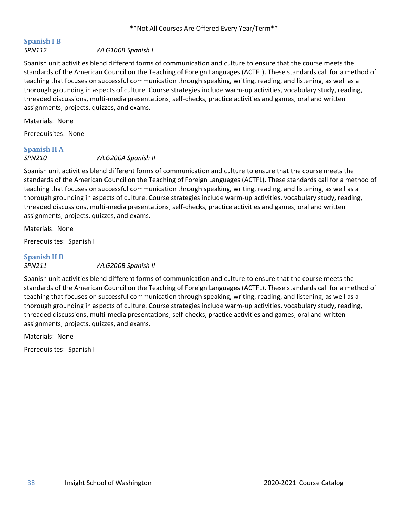## <span id="page-37-0"></span>**Spanish I B**

#### *SPN112 WLG100B Spanish I*

Spanish unit activities blend different forms of communication and culture to ensure that the course meets the standards of the American Council on the Teaching of Foreign Languages (ACTFL). These standards call for a method of teaching that focuses on successful communication through speaking, writing, reading, and listening, as well as a thorough grounding in aspects of culture. Course strategies include warm-up activities, vocabulary study, reading, threaded discussions, multi-media presentations, self-checks, practice activities and games, oral and written assignments, projects, quizzes, and exams.

Materials: None

Prerequisites: None

## <span id="page-37-1"></span>**Spanish II A**

#### *SPN210 WLG200A Spanish II*

Spanish unit activities blend different forms of communication and culture to ensure that the course meets the standards of the American Council on the Teaching of Foreign Languages (ACTFL). These standards call for a method of teaching that focuses on successful communication through speaking, writing, reading, and listening, as well as a thorough grounding in aspects of culture. Course strategies include warm-up activities, vocabulary study, reading, threaded discussions, multi-media presentations, self-checks, practice activities and games, oral and written assignments, projects, quizzes, and exams.

Materials: None

Prerequisites: Spanish I

## <span id="page-37-2"></span>**Spanish II B**

#### *SPN211 WLG200B Spanish II*

Spanish unit activities blend different forms of communication and culture to ensure that the course meets the standards of the American Council on the Teaching of Foreign Languages (ACTFL). These standards call for a method of teaching that focuses on successful communication through speaking, writing, reading, and listening, as well as a thorough grounding in aspects of culture. Course strategies include warm-up activities, vocabulary study, reading, threaded discussions, multi-media presentations, self-checks, practice activities and games, oral and written assignments, projects, quizzes, and exams.

Materials: None

Prerequisites: Spanish I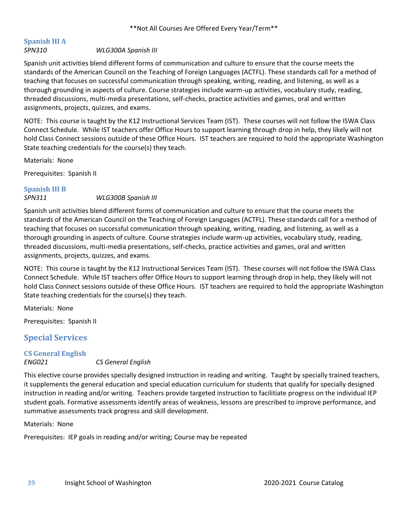## <span id="page-38-0"></span>**Spanish III A**

#### *SPN310 WLG300A Spanish III*

Spanish unit activities blend different forms of communication and culture to ensure that the course meets the standards of the American Council on the Teaching of Foreign Languages (ACTFL). These standards call for a method of teaching that focuses on successful communication through speaking, writing, reading, and listening, as well as a thorough grounding in aspects of culture. Course strategies include warm-up activities, vocabulary study, reading, threaded discussions, multi-media presentations, self-checks, practice activities and games, oral and written assignments, projects, quizzes, and exams.

NOTE: This course is taught by the K12 Instructional Services Team (IST). These courses will not follow the ISWA Class Connect Schedule. While IST teachers offer Office Hours to support learning through drop in help, they likely will not hold Class Connect sessions outside of these Office Hours. IST teachers are required to hold the appropriate Washington State teaching credentials for the course(s) they teach.

Materials: None

Prerequisites: Spanish II

## <span id="page-38-1"></span>**Spanish III B**

#### *SPN311 WLG300B Spanish III*

Spanish unit activities blend different forms of communication and culture to ensure that the course meets the standards of the American Council on the Teaching of Foreign Languages (ACTFL). These standards call for a method of teaching that focuses on successful communication through speaking, writing, reading, and listening, as well as a thorough grounding in aspects of culture. Course strategies include warm-up activities, vocabulary study, reading, threaded discussions, multi-media presentations, self-checks, practice activities and games, oral and written assignments, projects, quizzes, and exams.

NOTE: This course is taught by the K12 Instructional Services Team (IST). These courses will not follow the ISWA Class Connect Schedule. While IST teachers offer Office Hours to support learning through drop in help, they likely will not hold Class Connect sessions outside of these Office Hours. IST teachers are required to hold the appropriate Washington State teaching credentials for the course(s) they teach.

Materials: None

Prerequisites: Spanish II

### <span id="page-38-2"></span>**Special Services**

#### <span id="page-38-3"></span>**CS General English**

#### *ENG021 CS General English*

This elective course provides specially designed instruction in reading and writing. Taught by specially trained teachers, it supplements the general education and special education curriculum for students that qualify for specially designed instruction in reading and/or writing. Teachers provide targeted instruction to facilitiate progress on the individual IEP student goals. Formative assessments identify areas of weakness, lessons are prescribed to improve performance, and summative assessments track progress and skill development.

Materials: None

Prerequisites: IEP goals in reading and/or writing; Course may be repeated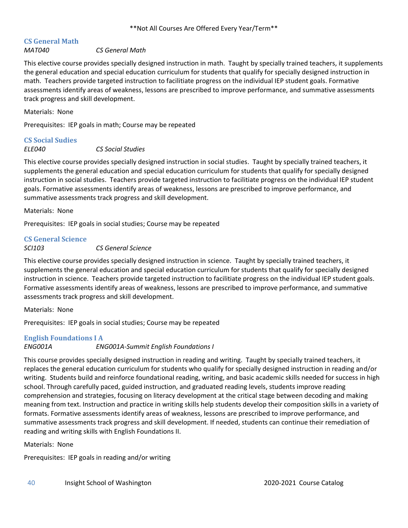## <span id="page-39-0"></span>**CS General Math**

#### *MAT040 CS General Math*

This elective course provides specially designed instruction in math. Taught by specially trained teachers, it supplements the general education and special education curriculum for students that qualify for specially designed instruction in math. Teachers provide targeted instruction to facilitiate progress on the individual IEP student goals. Formative assessments identify areas of weakness, lessons are prescribed to improve performance, and summative assessments track progress and skill development.

Materials: None

Prerequisites: IEP goals in math; Course may be repeated

## <span id="page-39-1"></span>**CS Social Sudies**

*ELE040 CS Social Studies*

This elective course provides specially designed instruction in social studies. Taught by specially trained teachers, it supplements the general education and special education curriculum for students that qualify for specially designed instruction in social studies. Teachers provide targeted instruction to facilitiate progress on the individual IEP student goals. Formative assessments identify areas of weakness, lessons are prescribed to improve performance, and summative assessments track progress and skill development.

Materials: None

Prerequisites: IEP goals in social studies; Course may be repeated

#### <span id="page-39-2"></span>**CS General Science**

#### *SCI103 CS General Science*

This elective course provides specially designed instruction in science. Taught by specially trained teachers, it supplements the general education and special education curriculum for students that qualify for specially designed instruction in science. Teachers provide targeted instruction to facilitiate progress on the individual IEP student goals. Formative assessments identify areas of weakness, lessons are prescribed to improve performance, and summative assessments track progress and skill development.

Materials: None

Prerequisites: IEP goals in social studies; Course may be repeated

#### <span id="page-39-3"></span>**English Foundations I A**

*ENG001A ENG001A-Summit English Foundations I* 

This course provides specially designed instruction in reading and writing. Taught by specially trained teachers, it replaces the general education curriculum for students who qualify for specially designed instruction in reading and/or writing. Students build and reinforce foundational reading, writing, and basic academic skills needed for success in high school. Through carefully paced, guided instruction, and graduated reading levels, students improve reading comprehension and strategies, focusing on literacy development at the critical stage between decoding and making meaning from text. Instruction and practice in writing skills help students develop their composition skills in a variety of formats. Formative assessments identify areas of weakness, lessons are prescribed to improve performance, and summative assessments track progress and skill development. If needed, students can continue their remediation of reading and writing skills with English Foundations II.

Materials: None

Prerequisites: IEP goals in reading and/or writing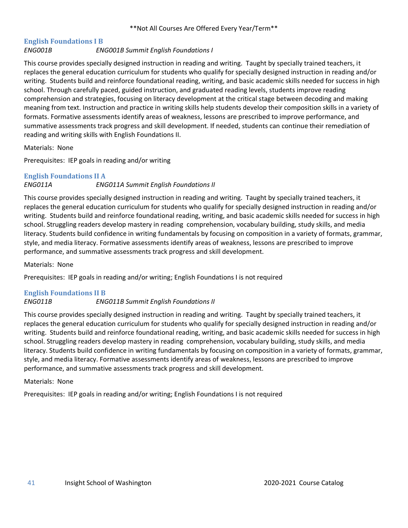## <span id="page-40-0"></span>**English Foundations I B**

#### *ENG001B ENG001B Summit English Foundations I*

This course provides specially designed instruction in reading and writing. Taught by specially trained teachers, it replaces the general education curriculum for students who qualify for specially designed instruction in reading and/or writing. Students build and reinforce foundational reading, writing, and basic academic skills needed for success in high school. Through carefully paced, guided instruction, and graduated reading levels, students improve reading comprehension and strategies, focusing on literacy development at the critical stage between decoding and making meaning from text. Instruction and practice in writing skills help students develop their composition skills in a variety of formats. Formative assessments identify areas of weakness, lessons are prescribed to improve performance, and summative assessments track progress and skill development. If needed, students can continue their remediation of reading and writing skills with English Foundations II.

Materials: None

Prerequisites: IEP goals in reading and/or writing

### <span id="page-40-1"></span>**English Foundations II A** *ENG011A ENG011A Summit English Foundations II*

This course provides specially designed instruction in reading and writing. Taught by specially trained teachers, it replaces the general education curriculum for students who qualify for specially designed instruction in reading and/or writing. Students build and reinforce foundational reading, writing, and basic academic skills needed for success in high school. Struggling readers develop mastery in reading comprehension, vocabulary building, study skills, and media literacy. Students build confidence in writing fundamentals by focusing on composition in a variety of formats, grammar, style, and media literacy. Formative assessments identify areas of weakness, lessons are prescribed to improve performance, and summative assessments track progress and skill development.

Materials: None

Prerequisites: IEP goals in reading and/or writing; English Foundations I is not required

#### <span id="page-40-2"></span>**English Foundations II B**

#### *ENG011B ENG011B Summit English Foundations II*

This course provides specially designed instruction in reading and writing. Taught by specially trained teachers, it replaces the general education curriculum for students who qualify for specially designed instruction in reading and/or writing. Students build and reinforce foundational reading, writing, and basic academic skills needed for success in high school. Struggling readers develop mastery in reading comprehension, vocabulary building, study skills, and media literacy. Students build confidence in writing fundamentals by focusing on composition in a variety of formats, grammar, style, and media literacy. Formative assessments identify areas of weakness, lessons are prescribed to improve performance, and summative assessments track progress and skill development.

#### Materials: None

Prerequisites: IEP goals in reading and/or writing; English Foundations I is not required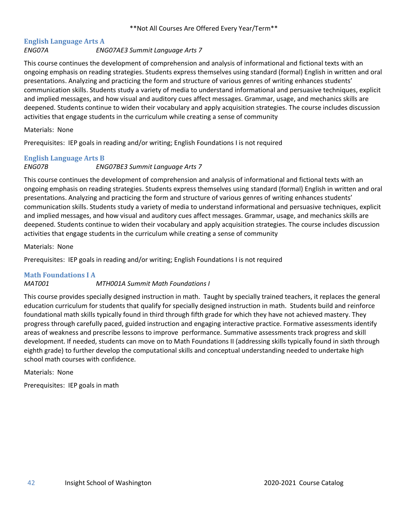## <span id="page-41-0"></span>**English Language Arts A**

#### *ENG07A ENG07AE3 Summit Language Arts 7*

This course continues the development of comprehension and analysis of informational and fictional texts with an ongoing emphasis on reading strategies. Students express themselves using standard (formal) English in written and oral presentations. Analyzing and practicing the form and structure of various genres of writing enhances students' communication skills. Students study a variety of media to understand informational and persuasive techniques, explicit and implied messages, and how visual and auditory cues affect messages. Grammar, usage, and mechanics skills are deepened. Students continue to widen their vocabulary and apply acquisition strategies. The course includes discussion activities that engage students in the curriculum while creating a sense of community

#### Materials: None

Prerequisites: IEP goals in reading and/or writing; English Foundations I is not required

## <span id="page-41-1"></span>**English Language Arts B**

#### *ENG07B ENG07BE3 Summit Language Arts 7*

This course continues the development of comprehension and analysis of informational and fictional texts with an ongoing emphasis on reading strategies. Students express themselves using standard (formal) English in written and oral presentations. Analyzing and practicing the form and structure of various genres of writing enhances students' communication skills. Students study a variety of media to understand informational and persuasive techniques, explicit and implied messages, and how visual and auditory cues affect messages. Grammar, usage, and mechanics skills are deepened. Students continue to widen their vocabulary and apply acquisition strategies. The course includes discussion activities that engage students in the curriculum while creating a sense of community

Materials: None

Prerequisites: IEP goals in reading and/or writing; English Foundations I is not required

#### <span id="page-41-2"></span>**Math Foundations I A**

#### *MAT001 MTH001A Summit Math Foundations I*

This course provides specially designed instruction in math. Taught by specially trained teachers, it replaces the general education curriculum for students that qualify for specially designed instruction in math. Students build and reinforce foundational math skills typically found in third through fifth grade for which they have not achieved mastery. They progress through carefully paced, guided instruction and engaging interactive practice. Formative assessments identify areas of weakness and prescribe lessons to improve performance. Summative assessments track progress and skill development. If needed, students can move on to Math Foundations II (addressing skills typically found in sixth through eighth grade) to further develop the computational skills and conceptual understanding needed to undertake high school math courses with confidence.

Materials: None

Prerequisites: IEP goals in math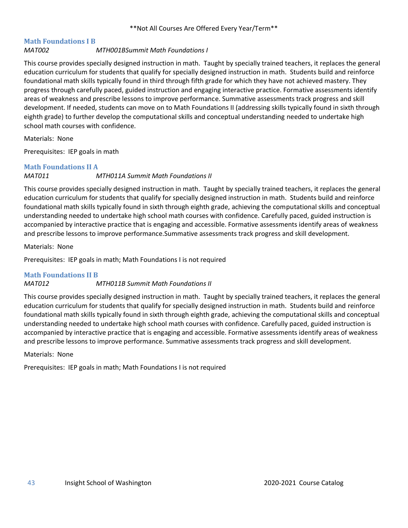## <span id="page-42-0"></span>**Math Foundations I B**

#### *MAT002 MTH001BSummit Math Foundations I*

This course provides specially designed instruction in math. Taught by specially trained teachers, it replaces the general education curriculum for students that qualify for specially designed instruction in math. Students build and reinforce foundational math skills typically found in third through fifth grade for which they have not achieved mastery. They progress through carefully paced, guided instruction and engaging interactive practice. Formative assessments identify areas of weakness and prescribe lessons to improve performance. Summative assessments track progress and skill development. If needed, students can move on to Math Foundations II (addressing skills typically found in sixth through eighth grade) to further develop the computational skills and conceptual understanding needed to undertake high school math courses with confidence.

Materials: None

Prerequisites: IEP goals in math

#### <span id="page-42-1"></span>**Math Foundations II A**

#### *MAT011 MTH011A Summit Math Foundations II*

This course provides specially designed instruction in math. Taught by specially trained teachers, it replaces the general education curriculum for students that qualify for specially designed instruction in math. Students build and reinforce foundational math skills typically found in sixth through eighth grade, achieving the computational skills and conceptual understanding needed to undertake high school math courses with confidence. Carefully paced, guided instruction is accompanied by interactive practice that is engaging and accessible. Formative assessments identify areas of weakness and prescribe lessons to improve performance.Summative assessments track progress and skill development.

Materials: None

Prerequisites: IEP goals in math; Math Foundations I is not required

#### <span id="page-42-2"></span>**Math Foundations II B**

#### *MAT012 MTH011B Summit Math Foundations II*

This course provides specially designed instruction in math. Taught by specially trained teachers, it replaces the general education curriculum for students that qualify for specially designed instruction in math. Students build and reinforce foundational math skills typically found in sixth through eighth grade, achieving the computational skills and conceptual understanding needed to undertake high school math courses with confidence. Carefully paced, guided instruction is accompanied by interactive practice that is engaging and accessible. Formative assessments identify areas of weakness and prescribe lessons to improve performance. Summative assessments track progress and skill development.

#### Materials: None

Prerequisites: IEP goals in math; Math Foundations I is not required